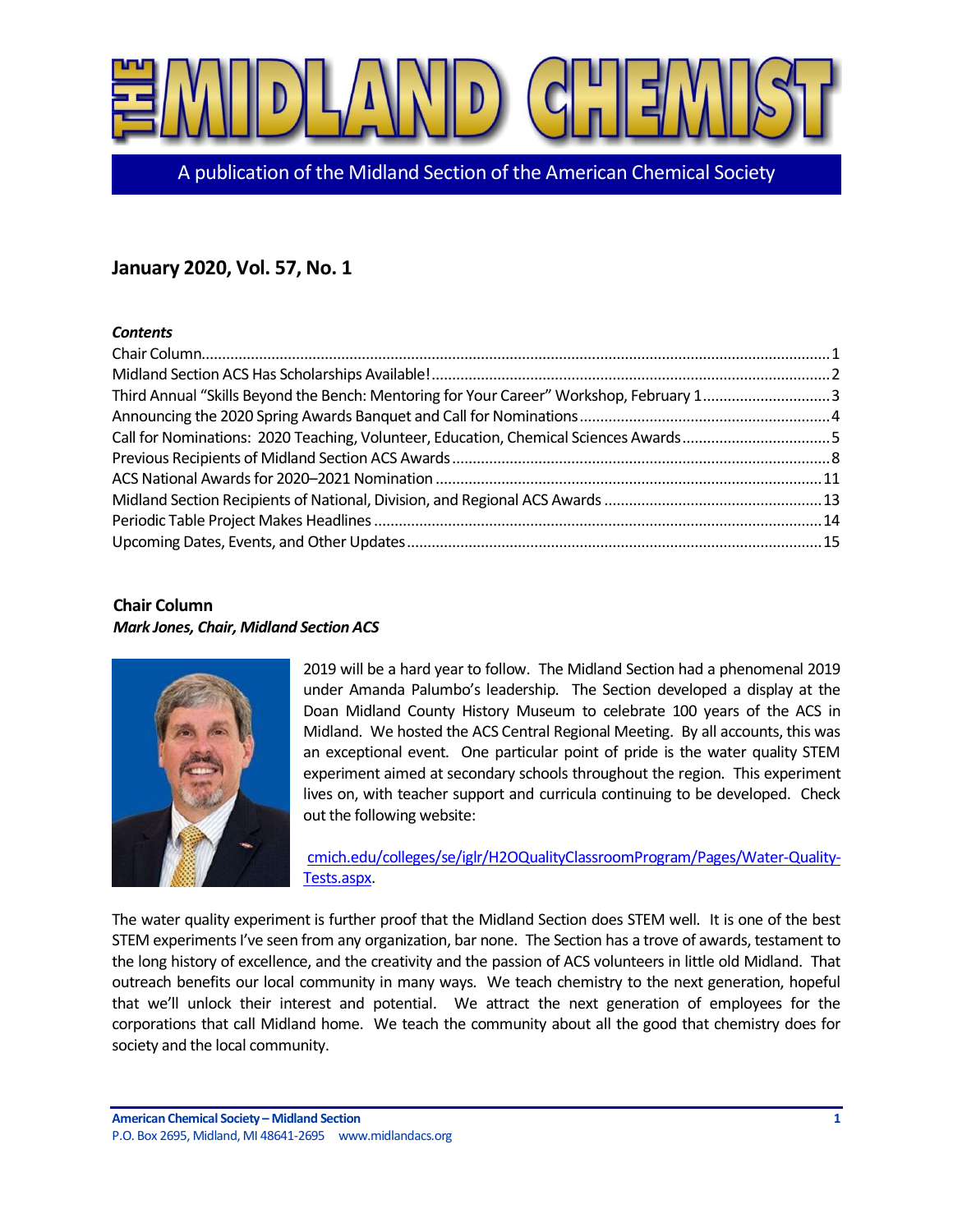

A publication of the Midland Section of the American Chemical Society

# **January 2020, Vol. 57, No. 1**

### *Contents*

| Third Annual "Skills Beyond the Bench: Mentoring for Your Career" Workshop, February 13 |  |
|-----------------------------------------------------------------------------------------|--|
|                                                                                         |  |
| Call for Nominations: 2020 Teaching, Volunteer, Education, Chemical Sciences Awards5    |  |
|                                                                                         |  |
|                                                                                         |  |
|                                                                                         |  |
|                                                                                         |  |
|                                                                                         |  |

# <span id="page-0-0"></span>**Chair Column** *Mark Jones, Chair, Midland Section ACS*



2019 will be a hard year to follow. The Midland Section had a phenomenal 2019 under Amanda Palumbo's leadership. The Section developed a display at the Doan Midland County History Museum to celebrate 100 years of the ACS in Midland. We hosted the ACS Central Regional Meeting. By all accounts, this was an exceptional event. One particular point of pride is the water quality STEM experiment aimed at secondary schools throughout the region. This experiment lives on, with teacher support and curricula continuing to be developed. Check out the following website:

[cmich.edu/colleges/se/iglr/H2OQualityClassroomProgram/Pages/Water-Quality-](https://www.cmich.edu/colleges/se/iglr/H2OQualityClassroomProgram/Pages/Water-Quality-Tests.aspx)[Tests.aspx.](https://www.cmich.edu/colleges/se/iglr/H2OQualityClassroomProgram/Pages/Water-Quality-Tests.aspx)

The water quality experiment is further proof that the Midland Section does STEM well. It is one of the best STEM experiments I've seen from any organization, bar none. The Section has a trove of awards, testament to the long history of excellence, and the creativity and the passion of ACS volunteers in little old Midland. That outreach benefits our local community in many ways. We teach chemistry to the next generation, hopeful that we'll unlock their interest and potential. We attract the next generation of employees for the corporations that call Midland home. We teach the community about all the good that chemistry does for society and the local community.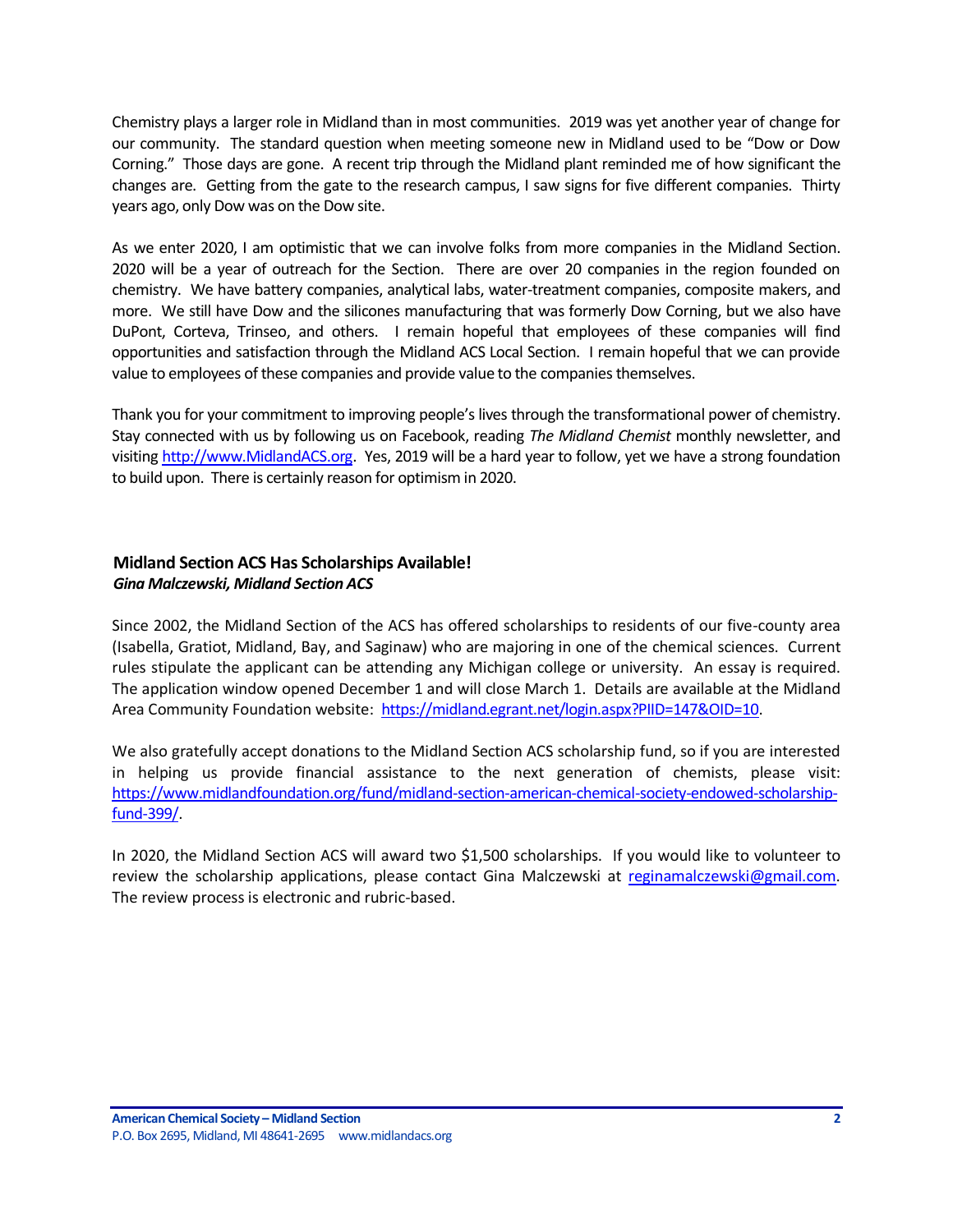Chemistry plays a larger role in Midland than in most communities. 2019 was yet another year of change for our community. The standard question when meeting someone new in Midland used to be "Dow or Dow Corning." Those days are gone. A recent trip through the Midland plant reminded me of how significant the changes are. Getting from the gate to the research campus, I saw signs for five different companies. Thirty years ago, only Dow was on the Dow site.

As we enter 2020, I am optimistic that we can involve folks from more companies in the Midland Section. 2020 will be a year of outreach for the Section. There are over 20 companies in the region founded on chemistry. We have battery companies, analytical labs, water-treatment companies, composite makers, and more. We still have Dow and the silicones manufacturing that was formerly Dow Corning, but we also have DuPont, Corteva, Trinseo, and others. I remain hopeful that employees of these companies will find opportunities and satisfaction through the Midland ACS Local Section. I remain hopeful that we can provide value to employees of these companies and provide value to the companies themselves.

Thank you for your commitment to improving people's lives through the transformational power of chemistry. Stay connected with us by following us on Facebook, reading *The Midland Chemist* monthly newsletter, and visiting [http://www.MidlandACS.org.](http://www.midlandacs.org/) Yes, 2019 will be a hard year to follow, yet we have a strong foundation to build upon. There is certainly reason for optimism in 2020.

# <span id="page-1-0"></span>**Midland Section ACS Has Scholarships Available!** *Gina Malczewski, Midland Section ACS*

Since 2002, the Midland Section of the ACS has offered scholarships to residents of our five-county area (Isabella, Gratiot, Midland, Bay, and Saginaw) who are majoring in one of the chemical sciences. Current rules stipulate the applicant can be attending any Michigan college or university. An essay is required. The application window opened December 1 and will close March 1. Details are available at the Midland Area Community Foundation website: [https://midland.egrant.net/login.aspx?PIID=147&OID=10.](https://midland.egrant.net/login.aspx?PIID=147&OID=10)

We also gratefully accept donations to the Midland Section ACS scholarship fund, so if you are interested in helping us provide financial assistance to the next generation of chemists, please visit: [https://www.midlandfoundation.org/fund/midland-section-american-chemical-society-endowed-scholarship](https://www.midlandfoundation.org/fund/midland-section-american-chemical-society-endowed-scholarship-fund-399/)[fund-399/.](https://www.midlandfoundation.org/fund/midland-section-american-chemical-society-endowed-scholarship-fund-399/)

In 2020, the Midland Section ACS will award two \$1,500 scholarships. If you would like to volunteer to review the scholarship applications, please contact Gina Malczewski at [reginamalczewski@gmail.com.](mailto:reginamalczewski@gmail.com) The review process is electronic and rubric-based.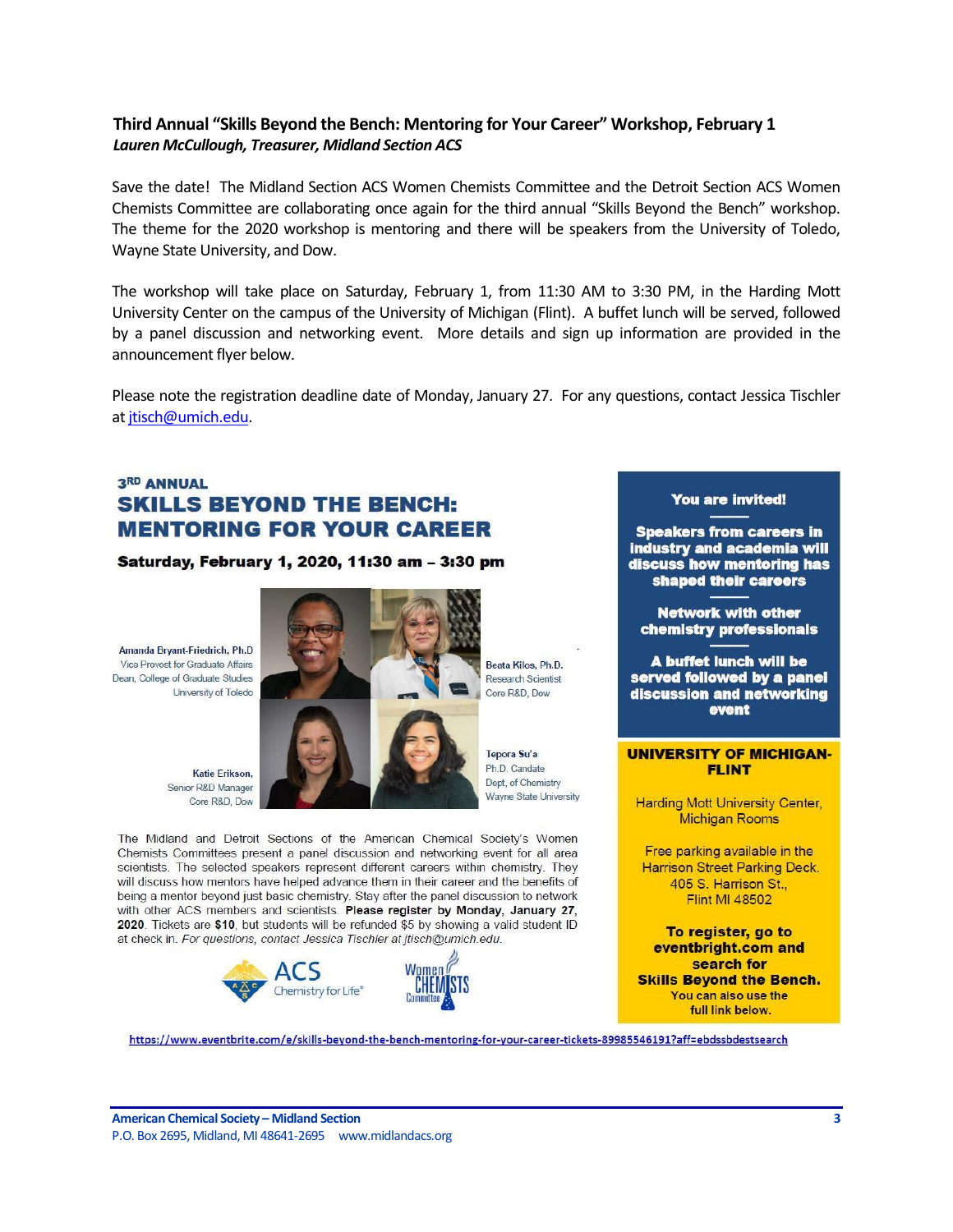# <span id="page-2-0"></span>**Third Annual "Skills Beyond the Bench: Mentoring for Your Career" Workshop, February 1** *Lauren McCullough, Treasurer, Midland Section ACS*

Save the date! The Midland Section ACS Women Chemists Committee and the Detroit Section ACS Women Chemists Committee are collaborating once again for the third annual "Skills Beyond the Bench" workshop. The theme for the 2020 workshop is mentoring and there will be speakers from the University of Toledo, Wayne State University, and Dow.

The workshop will take place on Saturday, February 1, from 11:30 AM to 3:30 PM, in the Harding Mott University Center on the campus of the University of Michigan (Flint). A buffet lunch will be served, followed by a panel discussion and networking event. More details and sign up information are provided in the announcement flyer below.

Please note the registration deadline date of Monday, January 27. For any questions, contact Jessica Tischler a[t jtisch@umich.edu.](mailto:jtisch@umich.edu)

# 3RD ANNUAL **SKILLS BEYOND THE BENCH: MENTORING FOR YOUR CAREER**

#### Saturday, February 1, 2020, 11:30 am - 3:30 pm

Amanda Bryant-Friedrich, Ph.D Vice Provost for Graduate Affairs Dean, College of Graduate Studies University of Toledo

Katie Erikson. Senior R&D Manager Core R&D, Dow



Beata Kilos, Ph.D. Research Scientist Core R&D, Dow

Tepora Su'a Ph.D. Candate Dept. of Chemistry Wayne State University

The Midland and Detroit Sections of the American Chemical Society's Women Chemists Committees present a panel discussion and networking event for all area scientists. The selected speakers represent different careers within chemistry. They will discuss how mentors have helped advance them in their career and the benefits of being a mentor beyond just basic chemistry. Stay after the panel discussion to network with other ACS members and scientists. Please register by Monday, January 27, 2020. Tickets are \$10, but students will be refunded \$5 by showing a valid student ID at check in. For questions, contact Jessica Tischler at jtisch@umich.edu.





### **You are invited!**

**Speakers from careers in** industry and academia will discuss how mentoring has shaped their careers

**Network with other** chemistry professionals

A buffet lunch will be served followed by a panel discussion and networking event

#### **UNIVERSITY OF MICHIGAN-FLINT**

**Harding Mott University Center, Michigan Rooms** 

Free parking available in the Harrison Street Parking Deck. 405 S. Harrison St., **Flint MI 48502** 

To register, go to eventbright.com and search for **Skills Beyond the Bench.** You can also use the full link below.

https://www.eventbrite.com/e/skills-beyond-the-bench-mentoring-for-your-career-tickets-89985546191?aff=ebdssbdestsearch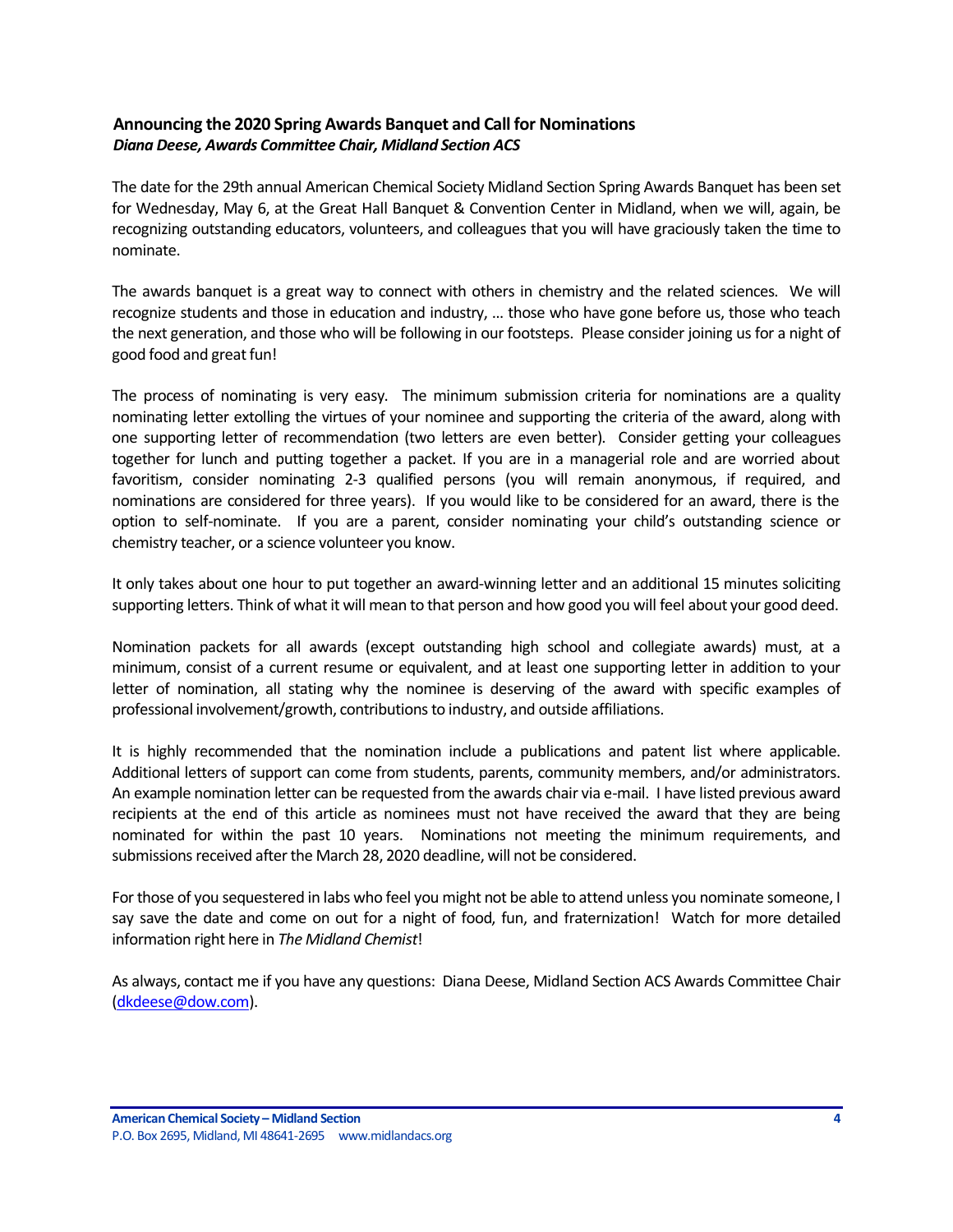# <span id="page-3-0"></span>**Announcing the 2020 Spring Awards Banquet and Call for Nominations** *Diana Deese, Awards Committee Chair, Midland Section ACS*

The date for the 29th annual American Chemical Society Midland Section Spring Awards Banquet has been set for Wednesday, May 6, at the Great Hall Banquet & Convention Center in Midland, when we will, again, be recognizing outstanding educators, volunteers, and colleagues that you will have graciously taken the time to nominate.

The awards banquet is a great way to connect with others in chemistry and the related sciences. We will recognize students and those in education and industry, … those who have gone before us, those who teach the next generation, and those who will be following in our footsteps. Please consider joining us for a night of good food and great fun!

The process of nominating is very easy. The minimum submission criteria for nominations are a quality nominating letter extolling the virtues of your nominee and supporting the criteria of the award, along with one supporting letter of recommendation (two letters are even better). Consider getting your colleagues together for lunch and putting together a packet. If you are in a managerial role and are worried about favoritism, consider nominating 2-3 qualified persons (you will remain anonymous, if required, and nominations are considered for three years). If you would like to be considered for an award, there is the option to self-nominate. If you are a parent, consider nominating your child's outstanding science or chemistry teacher, or a science volunteer you know.

It only takes about one hour to put together an award-winning letter and an additional 15 minutes soliciting supporting letters. Think of what it will mean to that person and how good you will feel about your good deed.

Nomination packets for all awards (except outstanding high school and collegiate awards) must, at a minimum, consist of a current resume or equivalent, and at least one supporting letter in addition to your letter of nomination, all stating why the nominee is deserving of the award with specific examples of professional involvement/growth, contributions to industry, and outside affiliations.

It is highly recommended that the nomination include a publications and patent list where applicable. Additional letters of support can come from students, parents, community members, and/or administrators. An example nomination letter can be requested from the awards chair via e-mail. I have listed previous award recipients at the end of this article as nominees must not have received the award that they are being nominated for within the past 10 years. Nominations not meeting the minimum requirements, and submissions received after the March 28, 2020 deadline, will not be considered.

For those of you sequestered in labs who feel you might not be able to attend unless you nominate someone, I say save the date and come on out for a night of food, fun, and fraternization! Watch for more detailed information right here in *The Midland Chemist*!

As always, contact me if you have any questions: Diana Deese, Midland Section ACS Awards Committee Chair [\(dkdeese@dow.com\)](mailto:dkdeese@dow.com).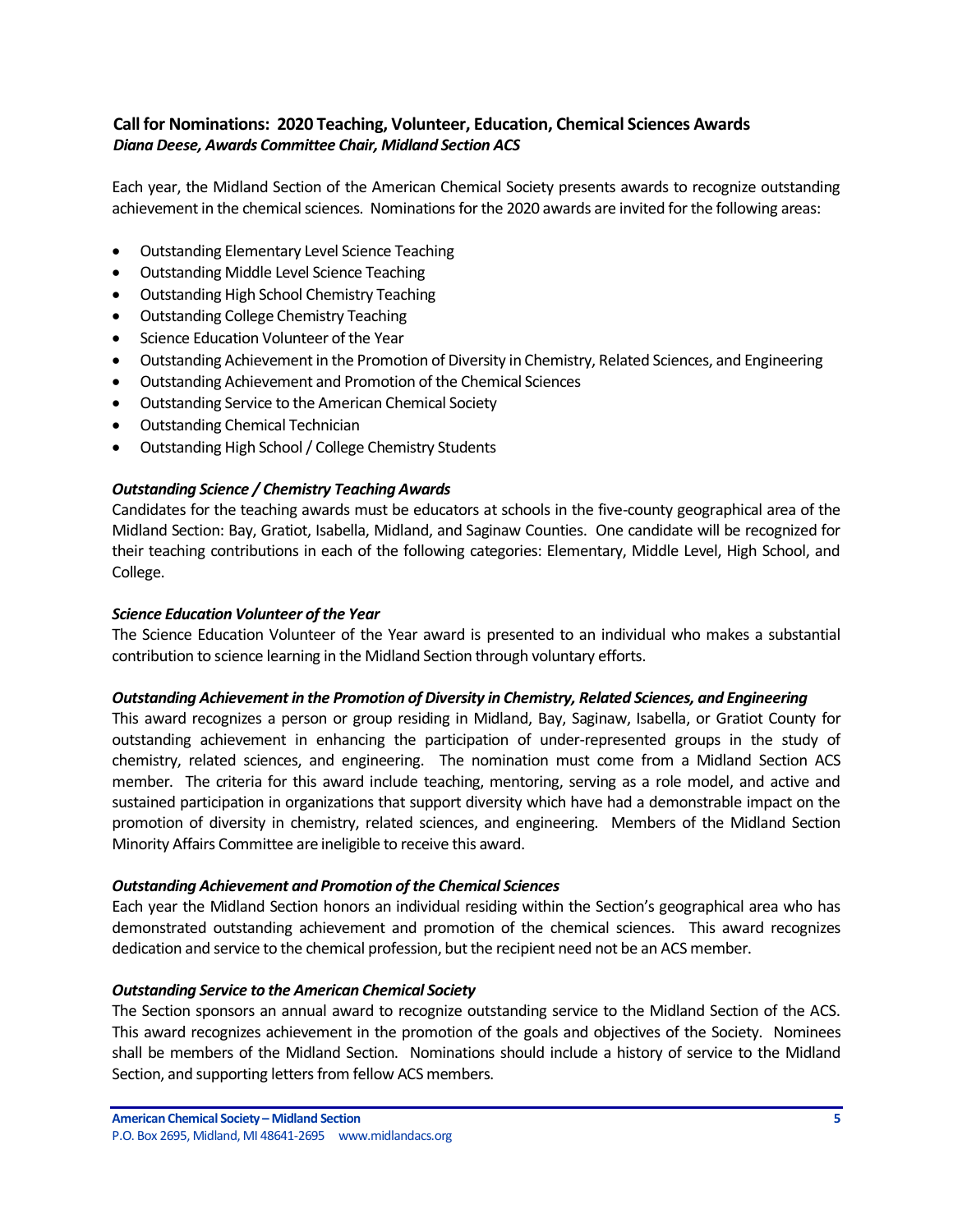# <span id="page-4-0"></span>**Call for Nominations: 2020 Teaching, Volunteer, Education, Chemical Sciences Awards** *Diana Deese, Awards Committee Chair, Midland Section ACS*

Each year, the Midland Section of the American Chemical Society presents awards to recognize outstanding achievement in the chemical sciences. Nominations for the 2020 awards are invited for the following areas:

- Outstanding Elementary Level Science Teaching
- Outstanding Middle Level Science Teaching
- Outstanding High School Chemistry Teaching
- Outstanding College Chemistry Teaching
- Science Education Volunteer of the Year
- Outstanding Achievement in the Promotion of Diversity in Chemistry, Related Sciences, and Engineering
- Outstanding Achievement and Promotion of the Chemical Sciences
- Outstanding Service to the American Chemical Society
- Outstanding Chemical Technician
- Outstanding High School / College Chemistry Students

### *Outstanding Science / Chemistry Teaching Awards*

Candidates for the teaching awards must be educators at schools in the five-county geographical area of the Midland Section: Bay, Gratiot, Isabella, Midland, and Saginaw Counties. One candidate will be recognized for their teaching contributions in each of the following categories: Elementary, Middle Level, High School, and College.

### *Science Education Volunteer of the Year*

The Science Education Volunteer of the Year award is presented to an individual who makes a substantial contribution to science learning in the Midland Section through voluntary efforts.

### *Outstanding Achievement in the Promotion of Diversity in Chemistry, Related Sciences, and Engineering*

This award recognizes a person or group residing in Midland, Bay, Saginaw, Isabella, or Gratiot County for outstanding achievement in enhancing the participation of under-represented groups in the study of chemistry, related sciences, and engineering. The nomination must come from a Midland Section ACS member. The criteria for this award include teaching, mentoring, serving as a role model, and active and sustained participation in organizations that support diversity which have had a demonstrable impact on the promotion of diversity in chemistry, related sciences, and engineering. Members of the Midland Section Minority Affairs Committee are ineligible to receive this award.

### *Outstanding Achievement and Promotion of the Chemical Sciences*

Each year the Midland Section honors an individual residing within the Section's geographical area who has demonstrated outstanding achievement and promotion of the chemical sciences. This award recognizes dedication and service to the chemical profession, but the recipient need not be an ACS member.

### *Outstanding Service to the American Chemical Society*

The Section sponsors an annual award to recognize outstanding service to the Midland Section of the ACS. This award recognizes achievement in the promotion of the goals and objectives of the Society. Nominees shall be members of the Midland Section. Nominations should include a history of service to the Midland Section, and supporting letters from fellow ACS members.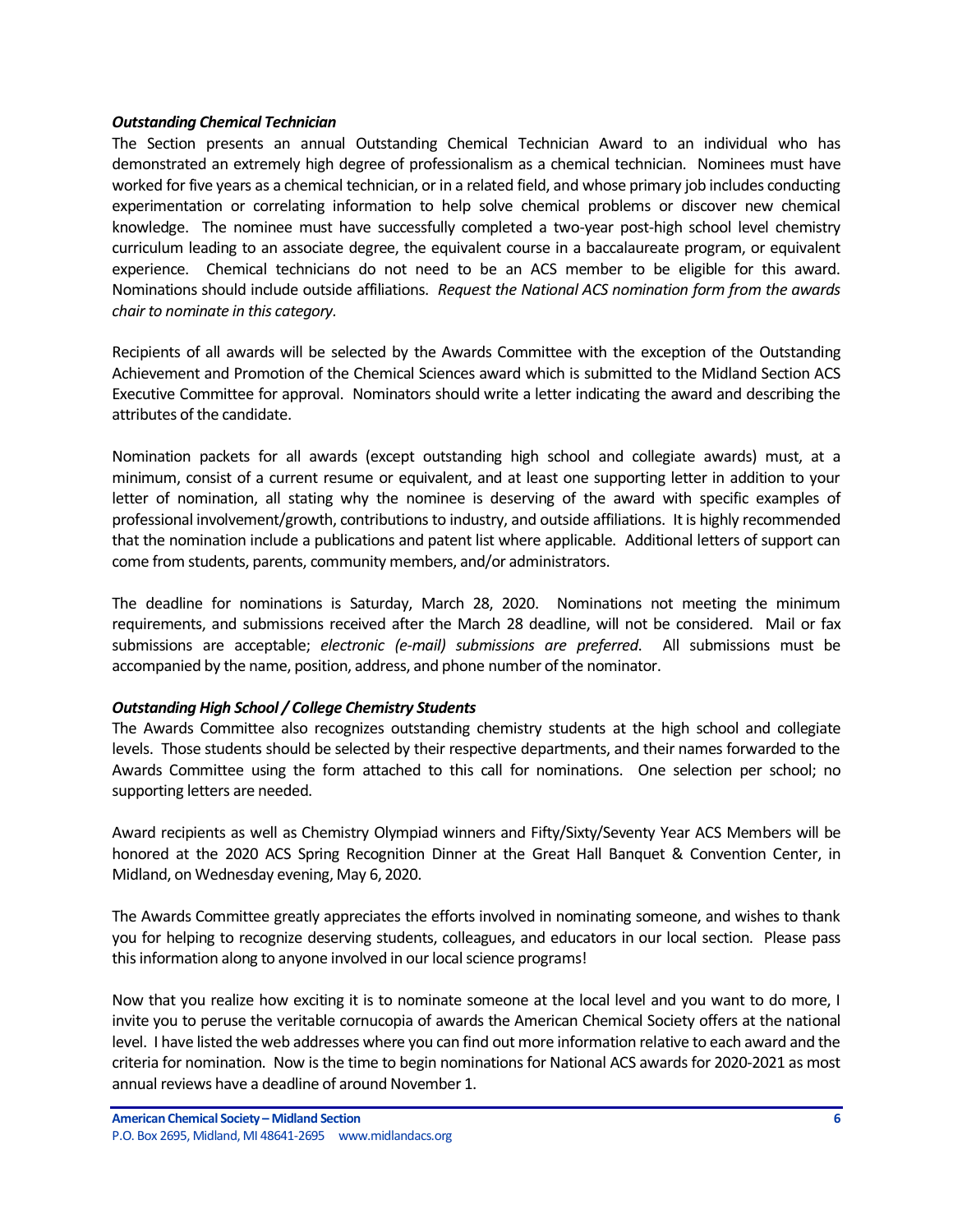### *Outstanding Chemical Technician*

The Section presents an annual Outstanding Chemical Technician Award to an individual who has demonstrated an extremely high degree of professionalism as a chemical technician. Nominees must have worked for five years as a chemical technician, or in a related field, and whose primary job includes conducting experimentation or correlating information to help solve chemical problems or discover new chemical knowledge. The nominee must have successfully completed a two-year post-high school level chemistry curriculum leading to an associate degree, the equivalent course in a baccalaureate program, or equivalent experience. Chemical technicians do not need to be an ACS member to be eligible for this award. Nominations should include outside affiliations. *Request the National ACS nomination form from the awards chair to nominate in this category.*

Recipients of all awards will be selected by the Awards Committee with the exception of the Outstanding Achievement and Promotion of the Chemical Sciences award which is submitted to the Midland Section ACS Executive Committee for approval. Nominators should write a letter indicating the award and describing the attributes of the candidate.

Nomination packets for all awards (except outstanding high school and collegiate awards) must, at a minimum, consist of a current resume or equivalent, and at least one supporting letter in addition to your letter of nomination, all stating why the nominee is deserving of the award with specific examples of professional involvement/growth, contributions to industry, and outside affiliations. It is highly recommended that the nomination include a publications and patent list where applicable. Additional letters of support can come from students, parents, community members, and/or administrators.

The deadline for nominations is Saturday, March 28, 2020. Nominations not meeting the minimum requirements, and submissions received after the March 28 deadline, will not be considered. Mail or fax submissions are acceptable; *electronic (e-mail) submissions are preferred*. All submissions must be accompanied by the name, position, address, and phone number of the nominator.

### *Outstanding High School / College Chemistry Students*

The Awards Committee also recognizes outstanding chemistry students at the high school and collegiate levels. Those students should be selected by their respective departments, and their names forwarded to the Awards Committee using the form attached to this call for nominations. One selection per school; no supporting letters are needed.

Award recipients as well as Chemistry Olympiad winners and Fifty/Sixty/Seventy Year ACS Members will be honored at the 2020 ACS Spring Recognition Dinner at the Great Hall Banquet & Convention Center, in Midland, on Wednesday evening, May 6, 2020.

The Awards Committee greatly appreciates the efforts involved in nominating someone, and wishes to thank you for helping to recognize deserving students, colleagues, and educators in our local section. Please pass this information along to anyone involved in our local science programs!

Now that you realize how exciting it is to nominate someone at the local level and you want to do more, I invite you to peruse the veritable cornucopia of awards the American Chemical Society offers at the national level. I have listed the web addresses where you can find out more information relative to each award and the criteria for nomination. Now is the time to begin nominations for National ACS awards for 2020-2021 as most annual reviews have a deadline of around November 1.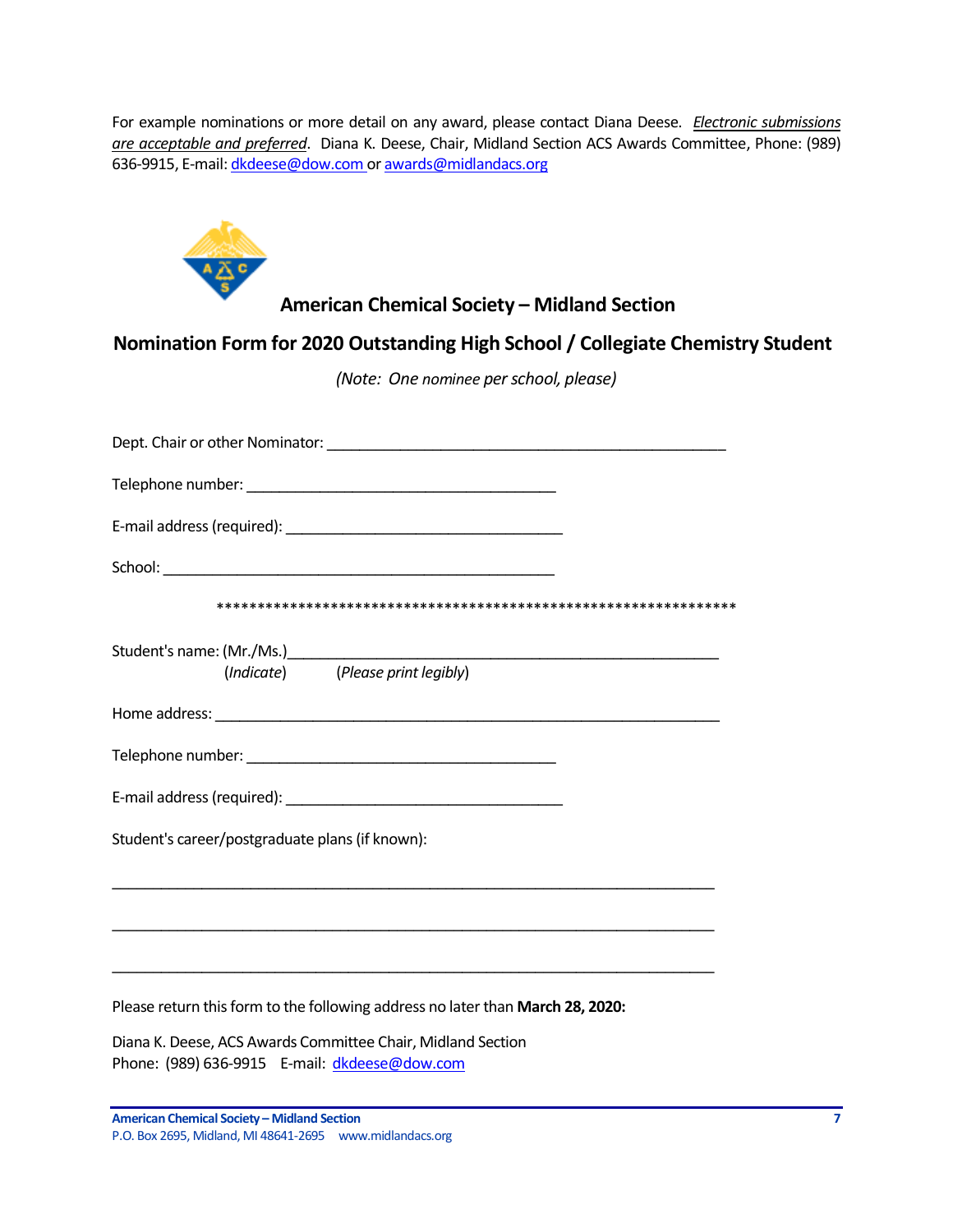For example nominations or more detail on any award, please contact Diana Deese. *Electronic submissions are acceptable and preferred*. Diana K. Deese, Chair, Midland Section ACS Awards Committee, Phone: (989) 636-9915, E-mail[: dkdeese@dow.com](mailto:dkdeese@dow.com) o[r awards@midlandacs.org](mailto:awards@midlandacs.org)



# **American Chemical Society – Midland Section**

**Nomination Form for 2020 Outstanding High School / Collegiate Chemistry Student**

*(Note: One nominee per school, please)*

| Dept. Chair or other Nominator: University of the control of the control of the control of the control of the control of the control of the control of the control of the control of the control of the control of the control |
|--------------------------------------------------------------------------------------------------------------------------------------------------------------------------------------------------------------------------------|
|                                                                                                                                                                                                                                |
|                                                                                                                                                                                                                                |
|                                                                                                                                                                                                                                |
|                                                                                                                                                                                                                                |
| (Indicate) (Please print legibly)                                                                                                                                                                                              |
|                                                                                                                                                                                                                                |
|                                                                                                                                                                                                                                |
|                                                                                                                                                                                                                                |
| Student's career/postgraduate plans (if known):                                                                                                                                                                                |
| ,我们也不能在这里的时候,我们也不能在这里的时候,我们也不能会在这里的时候,我们也不能会在这里的时候,我们也不能会在这里的时候,我们也不能会在这里的时候,我们也<br>,我们也不能在这里的时候,我们也不能在这里的时候,我们也不能在这里的时候,我们也不能会不能在这里的时候,我们也不能会不能会不能会不能会不能会不能会不能会不能会不                                                           |
| ,我们也不能在这里的人,我们也不能在这里的人,我们也不能在这里的人,我们也不能在这里的人,我们也不能在这里的人,我们也不能在这里的人,我们也不能在这里的人,我们也                                                                                                                                              |
| Please return this form to the following address no later than March 28, 2020:                                                                                                                                                 |
| Diana K. Deese, ACS Awards Committee Chair, Midland Section                                                                                                                                                                    |

Phone: (989) 636-9915 E-mail: [dkdeese@dow.com](mailto:dkdeese@dow.com)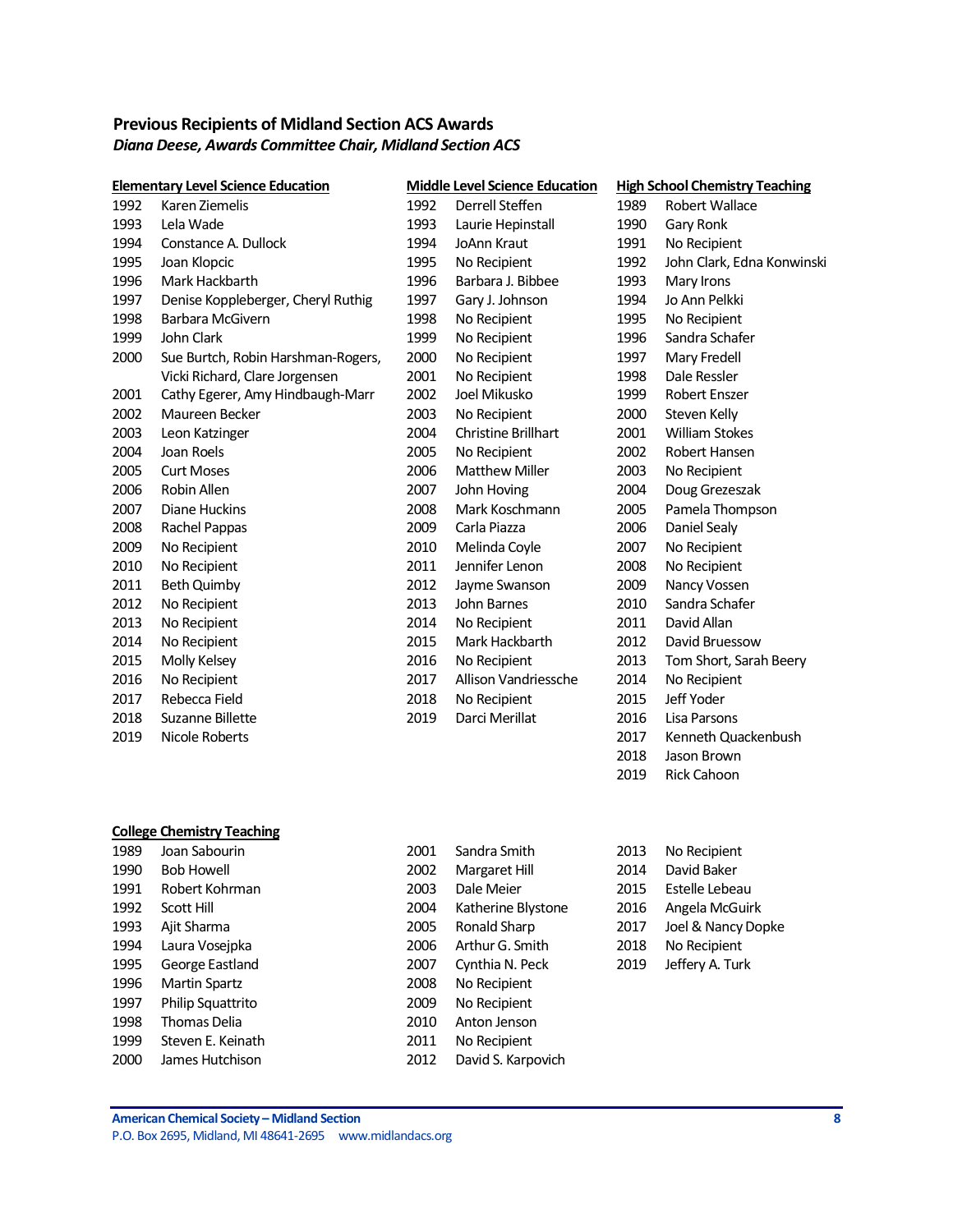# <span id="page-7-0"></span>**Previous Recipients of Midland Section ACS Awards** *Diana Deese, Awards Committee Chair, Midland Section ACS*

|      | <b>Elementary Level Science Education</b> |      | <b>Middle Level Science Education</b> |      | <b>High School Chemistry Teaching</b> |
|------|-------------------------------------------|------|---------------------------------------|------|---------------------------------------|
| 1992 | Karen Ziemelis                            | 1992 | Derrell Steffen                       | 1989 | <b>Robert Wallace</b>                 |
| 1993 | Lela Wade                                 | 1993 | Laurie Hepinstall                     | 1990 | Gary Ronk                             |
| 1994 | Constance A. Dullock                      | 1994 | <b>JoAnn Kraut</b>                    | 1991 | No Recipient                          |
| 1995 | Joan Klopcic                              | 1995 | No Recipient                          | 1992 | John Clark, Edna Konwinski            |
| 1996 | Mark Hackbarth                            | 1996 | Barbara J. Bibbee                     | 1993 | Mary Irons                            |
| 1997 | Denise Koppleberger, Cheryl Ruthig        | 1997 | Gary J. Johnson                       | 1994 | Jo Ann Pelkki                         |
| 1998 | Barbara McGivern                          | 1998 | No Recipient                          | 1995 | No Recipient                          |
| 1999 | John Clark                                | 1999 | No Recipient                          | 1996 | Sandra Schafer                        |
| 2000 | Sue Burtch, Robin Harshman-Rogers,        | 2000 | No Recipient                          | 1997 | Mary Fredell                          |
|      | Vicki Richard, Clare Jorgensen            | 2001 | No Recipient                          | 1998 | Dale Ressler                          |
| 2001 | Cathy Egerer, Amy Hindbaugh-Marr          | 2002 | Joel Mikusko                          | 1999 | <b>Robert Enszer</b>                  |
| 2002 | Maureen Becker                            | 2003 | No Recipient                          | 2000 | Steven Kelly                          |
| 2003 | Leon Katzinger                            | 2004 | <b>Christine Brillhart</b>            | 2001 | <b>William Stokes</b>                 |
| 2004 | Joan Roels                                | 2005 | No Recipient                          | 2002 | Robert Hansen                         |
| 2005 | <b>Curt Moses</b>                         | 2006 | <b>Matthew Miller</b>                 | 2003 | No Recipient                          |
| 2006 | Robin Allen                               | 2007 | John Hoving                           | 2004 | Doug Grezeszak                        |
| 2007 | Diane Huckins                             | 2008 | Mark Koschmann                        | 2005 | Pamela Thompson                       |
| 2008 | Rachel Pappas                             | 2009 | Carla Piazza                          | 2006 | Daniel Sealy                          |
| 2009 | No Recipient                              | 2010 | Melinda Coyle                         | 2007 | No Recipient                          |
| 2010 | No Recipient                              | 2011 | Jennifer Lenon                        | 2008 | No Recipient                          |
| 2011 | <b>Beth Quimby</b>                        | 2012 | Jayme Swanson                         | 2009 | Nancy Vossen                          |
| 2012 | No Recipient                              | 2013 | John Barnes                           | 2010 | Sandra Schafer                        |
| 2013 | No Recipient                              | 2014 | No Recipient                          | 2011 | David Allan                           |
| 2014 | No Recipient                              | 2015 | Mark Hackbarth                        | 2012 | David Bruessow                        |
| 2015 | Molly Kelsey                              | 2016 | No Recipient                          | 2013 | Tom Short, Sarah Beery                |
| 2016 | No Recipient                              | 2017 | Allison Vandriessche                  | 2014 | No Recipient                          |
| 2017 | Rebecca Field                             | 2018 | No Recipient                          | 2015 | Jeff Yoder                            |
| 2018 | Suzanne Billette                          | 2019 | Darci Merillat                        | 2016 | Lisa Parsons                          |
| 2019 | Nicole Roberts                            |      |                                       | 2017 | Kenneth Quackenbush                   |
|      |                                           |      |                                       | 2018 | Jason Brown                           |

### **College Chemistry Teaching**

| 1989 | Joan Sabourin       |
|------|---------------------|
| 1990 | Bob Howell          |
| 1991 | Robert Kohrman      |
| 1992 | Scott Hill          |
| 1993 | Ajit Sharma         |
| 1994 | Laura Vosejpka      |
| 1995 | George Eastland     |
| 1996 | Martin Spartz       |
| 1997 | Philip Squattrito   |
| 1998 | <b>Thomas Delia</b> |
| 1999 | Steven F. Keinath   |
| 2000 | James Hutchison     |

2001 Sandra Smith 2013 No Recipient 2002 Margaret Hill 2014 David Baker 2003 Dale Meier 2015 Estelle Lebeau 2004 Katherine Blystone 2016 Angela McGuirk 2005 Ronald Sharp 2017 Joel & Nancy Dopke 2006 Arthur G. Smith 2018 No Recipient 2007 Cynthia N. Peck 2019 Jeffery A. Turk 2008 No Recipient 2009 No Recipient 2010 Anton Jenson 2011 No Recipient 2012 David S. Karpovich

2019 Rick Cahoon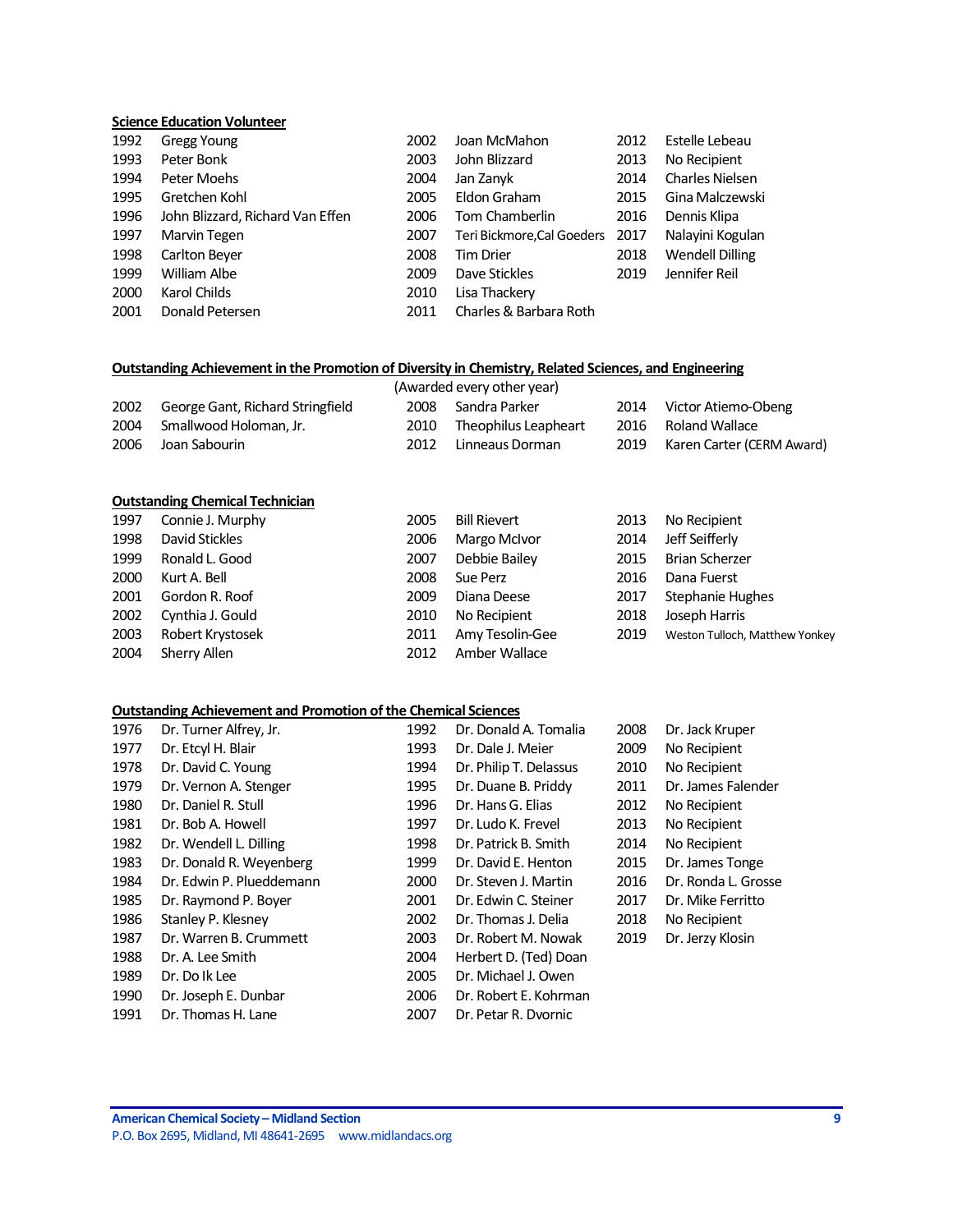### **Science Education Volunteer**

| 1992 | <b>Gregg Young</b>               | 2002 | Joan McMahon               | 2012 | Estelle Lebeau         |
|------|----------------------------------|------|----------------------------|------|------------------------|
| 1993 | Peter Bonk                       | 2003 | John Blizzard              | 2013 | No Recipient           |
| 1994 | Peter Moehs                      | 2004 | Jan Zanyk                  | 2014 | <b>Charles Nielsen</b> |
| 1995 | Gretchen Kohl                    | 2005 | Eldon Graham               | 2015 | Gina Malczewski        |
| 1996 | John Blizzard, Richard Van Effen | 2006 | Tom Chamberlin             | 2016 | Dennis Klipa           |
| 1997 | Marvin Tegen                     | 2007 | Teri Bickmore, Cal Goeders | 2017 | Nalayini Kogulan       |
| 1998 | Carlton Beyer                    | 2008 | <b>Tim Drier</b>           | 2018 | <b>Wendell Dilling</b> |
| 1999 | William Albe                     | 2009 | Dave Stickles              | 2019 | Jennifer Reil          |
| 2000 | Karol Childs                     | 2010 | Lisa Thackery              |      |                        |
| 2001 | Donald Petersen                  | 2011 | Charles & Barbara Roth     |      |                        |

### **Outstanding Achievement in the Promotion of Diversity in Chemistry, Related Sciences, and Engineering**

| (Awarded every other year) |                                       |      |                           |      |                           |  |
|----------------------------|---------------------------------------|------|---------------------------|------|---------------------------|--|
|                            | 2002 George Gant, Richard Stringfield |      | 2008 Sandra Parker        | 2014 | Victor Atiemo-Obeng       |  |
|                            | 2004 Smallwood Holoman, Jr.           |      | 2010 Theophilus Leapheart |      | 2016 Roland Wallace       |  |
| 2006                       | Joan Sabourin                         | 2012 | Linneaus Dorman           | 2019 | Karen Carter (CERM Award) |  |

#### **Outstanding Chemical Technician**

| 1997 | Connie J. Murphy      | 2005 | <b>Bill Rievert</b> | 2013 | No Recipient                   |
|------|-----------------------|------|---------------------|------|--------------------------------|
| 1998 | David Stickles        | 2006 | Margo McIvor        | 2014 | Jeff Seifferly                 |
| 1999 | Ronald L. Good        | 2007 | Debbie Bailey       | 2015 | Brian Scherzer                 |
| 2000 | Kurt A. Bell          | 2008 | Sue Perz            | 2016 | Dana Fuerst                    |
| 2001 | Gordon R. Roof        | 2009 | Diana Deese         | 2017 | <b>Stephanie Hughes</b>        |
|      | 2002 Cynthia J. Gould | 2010 | No Recipient        | 2018 | Joseph Harris                  |
| 2003 | Robert Krystosek      | 2011 | Amy Tesolin-Gee     | 2019 | Weston Tulloch, Matthew Yonkey |
| 2004 | Sherry Allen          | 2012 | Amber Wallace       |      |                                |

### **Outstanding Achievement and Promotion of the Chemical Sciences**

| 1976 | Dr. Turner Alfrey, Jr.   | 1992 | Dr. Donald A. Tomalia  | 2008 | Dr. Jack Kruper     |
|------|--------------------------|------|------------------------|------|---------------------|
| 1977 | Dr. Etcyl H. Blair       | 1993 | Dr. Dale J. Meier      | 2009 | No Recipient        |
| 1978 | Dr. David C. Young       | 1994 | Dr. Philip T. Delassus | 2010 | No Recipient        |
| 1979 | Dr. Vernon A. Stenger    | 1995 | Dr. Duane B. Priddy    | 2011 | Dr. James Falender  |
| 1980 | Dr. Daniel R. Stull      | 1996 | Dr. Hans G. Elias      | 2012 | No Recipient        |
| 1981 | Dr. Bob A. Howell        | 1997 | Dr. Ludo K. Frevel     | 2013 | No Recipient        |
| 1982 | Dr. Wendell L. Dilling   | 1998 | Dr. Patrick B. Smith   | 2014 | No Recipient        |
| 1983 | Dr. Donald R. Weyenberg  | 1999 | Dr. David E. Henton    | 2015 | Dr. James Tonge     |
| 1984 | Dr. Edwin P. Plueddemann | 2000 | Dr. Steven J. Martin   | 2016 | Dr. Ronda L. Grosse |
| 1985 | Dr. Raymond P. Boyer     | 2001 | Dr. Edwin C. Steiner   | 2017 | Dr. Mike Ferritto   |
| 1986 | Stanley P. Klesney       | 2002 | Dr. Thomas J. Delia    | 2018 | No Recipient        |
| 1987 | Dr. Warren B. Crummett   | 2003 | Dr. Robert M. Nowak    | 2019 | Dr. Jerzy Klosin    |
| 1988 | Dr. A. Lee Smith         | 2004 | Herbert D. (Ted) Doan  |      |                     |
| 1989 | Dr. Do Ik Lee            | 2005 | Dr. Michael J. Owen    |      |                     |
| 1990 | Dr. Joseph E. Dunbar     | 2006 | Dr. Robert E. Kohrman  |      |                     |
| 1991 | Dr. Thomas H. Lane       | 2007 | Dr. Petar R. Dvornic   |      |                     |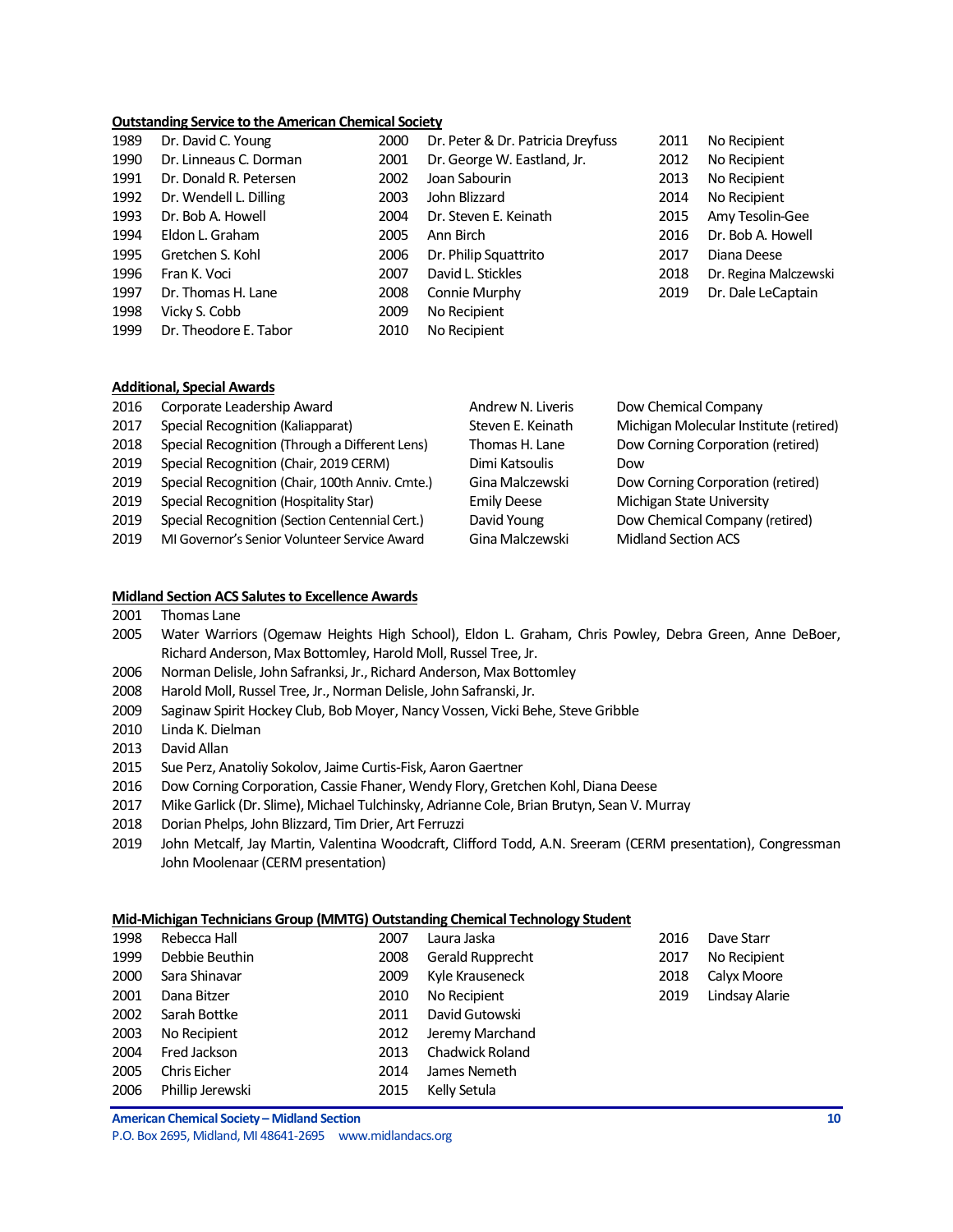#### **Outstanding Service to the American Chemical Society**

| 1989 | Dr. David C. Young     | 2000 | Dr. Peter & Dr. Patricia Dreyfuss | 2011 | No Recipient          |
|------|------------------------|------|-----------------------------------|------|-----------------------|
| 1990 | Dr. Linneaus C. Dorman | 2001 | Dr. George W. Eastland, Jr.       | 2012 | No Recipient          |
| 1991 | Dr. Donald R. Petersen | 2002 | Joan Sabourin                     | 2013 | No Recipient          |
| 1992 | Dr. Wendell L. Dilling | 2003 | John Blizzard                     | 2014 | No Recipient          |
| 1993 | Dr. Bob A. Howell      | 2004 | Dr. Steven E. Keinath             | 2015 | Amy Tesolin-Gee       |
| 1994 | Eldon L. Graham        | 2005 | Ann Birch                         | 2016 | Dr. Bob A. Howell     |
| 1995 | Gretchen S. Kohl       | 2006 | Dr. Philip Squattrito             | 2017 | Diana Deese           |
| 1996 | Fran K. Voci           | 2007 | David L. Stickles                 | 2018 | Dr. Regina Malczewski |
| 1997 | Dr. Thomas H. Lane     | 2008 | Connie Murphy                     | 2019 | Dr. Dale LeCaptain    |
| 1998 | Vicky S. Cobb          | 2009 | No Recipient                      |      |                       |
| 1999 | Dr. Theodore E. Tabor  | 2010 | No Recipient                      |      |                       |

| 2011 | No Recipient         |
|------|----------------------|
| 2012 | No Recipient         |
| 2013 | No Recipient         |
| 2014 | No Recipient         |
| 2015 | Amy Tesolin-Gee      |
| 2016 | Dr. Bob A. Howell    |
| 2017 | Diana Deese          |
| 2018 | Dr. Regina Malczewsł |
| 2019 | Dr. Dale LeCaptain   |

#### **Additional, Special Awards**

| 2016 | Corporate Leadership Award                      | Andrew N. Liveris  | Dow Chemical Company                   |
|------|-------------------------------------------------|--------------------|----------------------------------------|
| 2017 | Special Recognition (Kaliapparat)               | Steven E. Keinath  | Michigan Molecular Institute (retired) |
| 2018 | Special Recognition (Through a Different Lens)  | Thomas H. Lane     | Dow Corning Corporation (retired)      |
| 2019 | Special Recognition (Chair, 2019 CERM)          | Dimi Katsoulis     | Dow                                    |
| 2019 | Special Recognition (Chair, 100th Anniv. Cmte.) | Gina Malczewski    | Dow Corning Corporation (retired)      |
| 2019 | Special Recognition (Hospitality Star)          | <b>Emily Deese</b> | Michigan State University              |
| 2019 | Special Recognition (Section Centennial Cert.)  | David Young        | Dow Chemical Company (retired)         |
| 2019 | MI Governor's Senior Volunteer Service Award    | Gina Malczewski    | <b>Midland Section ACS</b>             |

#### **Midland Section ACS Salutes to Excellence Awards**

- Thomas Lane
- Water Warriors (Ogemaw Heights High School), Eldon L. Graham, Chris Powley, Debra Green, Anne DeBoer, Richard Anderson, Max Bottomley, Harold Moll, Russel Tree, Jr.
- Norman Delisle, John Safranksi, Jr., Richard Anderson, Max Bottomley
- Harold Moll, Russel Tree, Jr., Norman Delisle, John Safranski, Jr.
- Saginaw Spirit Hockey Club, Bob Moyer, Nancy Vossen, Vicki Behe, Steve Gribble
- Linda K. Dielman
- David Allan
- Sue Perz, Anatoliy Sokolov, Jaime Curtis-Fisk, Aaron Gaertner
- Dow Corning Corporation, Cassie Fhaner, Wendy Flory, Gretchen Kohl, Diana Deese
- Mike Garlick (Dr. Slime), Michael Tulchinsky, Adrianne Cole, Brian Brutyn, Sean V. Murray
- Dorian Phelps, John Blizzard, Tim Drier, Art Ferruzzi
- John Metcalf, Jay Martin, Valentina Woodcraft, Clifford Todd, A.N. Sreeram (CERM presentation), Congressman John Moolenaar (CERM presentation)

#### **Mid-Michigan Technicians Group (MMTG) Outstanding Chemical Technology Student**

| 1998 | Rebecca Hall        | 2007 | Laura Jaska            | 2016 | Dave Starr     |
|------|---------------------|------|------------------------|------|----------------|
| 1999 | Debbie Beuthin      | 2008 | Gerald Rupprecht       | 2017 | No Recipient   |
| 2000 | Sara Shinavar       | 2009 | Kyle Krauseneck        | 2018 | Calyx Moore    |
| 2001 | Dana Bitzer         | 2010 | No Recipient           | 2019 | Lindsay Alarie |
| 2002 | Sarah Bottke        | 2011 | David Gutowski         |      |                |
| 2003 | No Recipient        | 2012 | Jeremy Marchand        |      |                |
| 2004 | Fred Jackson        | 2013 | <b>Chadwick Roland</b> |      |                |
| 2005 | <b>Chris Eicher</b> | 2014 | James Nemeth           |      |                |
| 2006 | Phillip Jerewski    | 2015 | Kelly Setula           |      |                |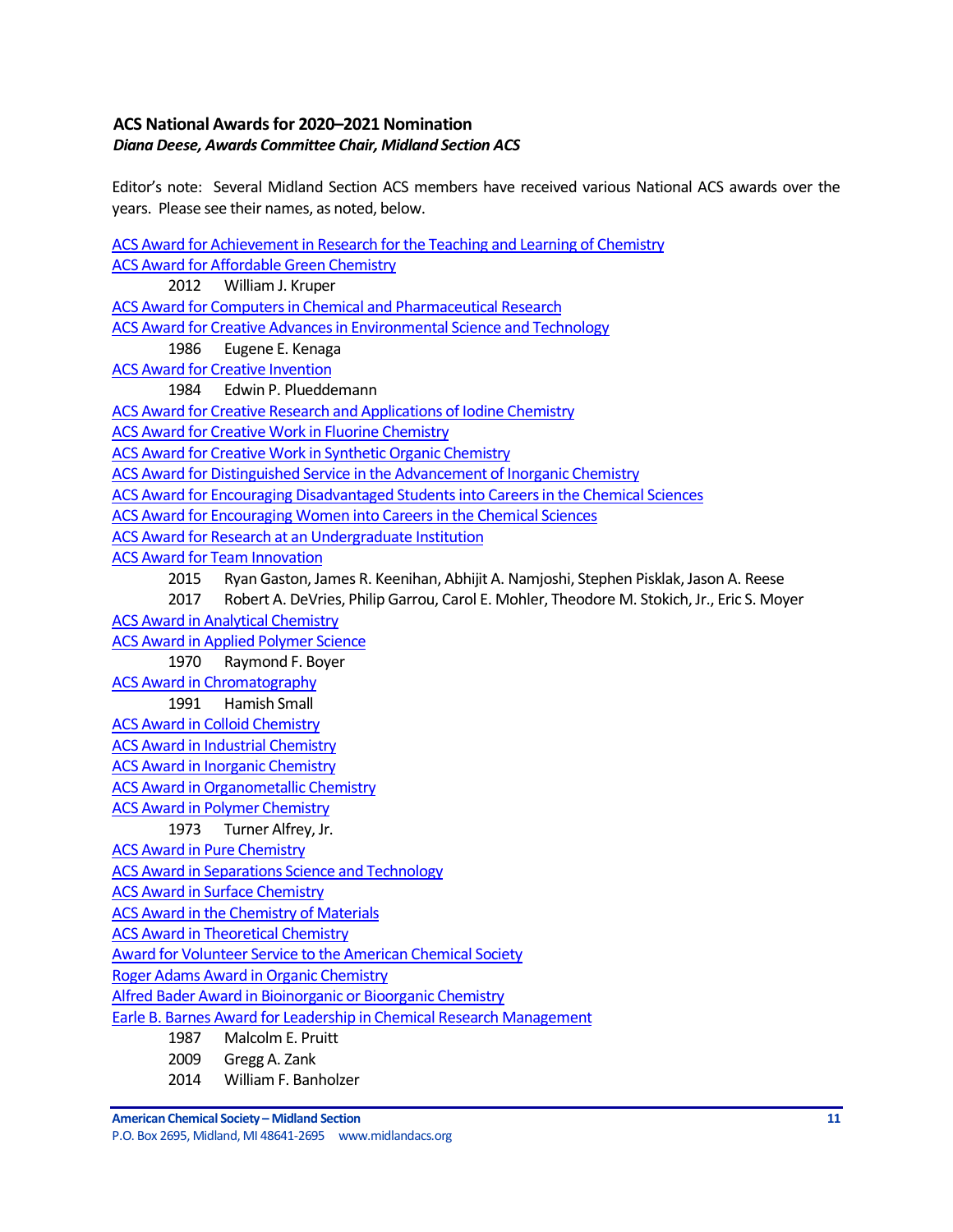# <span id="page-10-0"></span>**ACS National Awardsfor 2020–2021 Nomination** *Diana Deese, Awards Committee Chair, Midland Section ACS*

Editor's note: Several Midland Section ACS members have received various National ACS awards over the years. Please see their names, as noted, below.

[ACS Award for Achievement in Research for the Teaching and Learning of Chemistry](http://www.acs.org/content/acs/en/funding-and-awards/awards/national/bytopic/acs-award-for-achievement-in-research-for-the-teaching-and-learning-of-chemistry.html) [ACS Award for Affordable Green Chemistry](http://www.acs.org/content/acs/en/funding-and-awards/awards/national/bytopic/acs-award-for-affordable-green-chemistry.html) 2012 William J. Kruper [ACS Award for Computers in Chemical and Pharmaceutical Research](http://www.acs.org/content/acs/en/funding-and-awards/awards/national/bytopic/acs-award-for-computers-in-chemical-and-pharmaceutical-research.html) [ACS Award for Creative Advances in Environmental Science and Technology](http://www.acs.org/content/acs/en/funding-and-awards/awards/national/bytopic/acs-award-for-creative-advances-in-environmental-science-and-technology.html) 1986 Eugene E. Kenaga [ACS Award for Creative Invention](http://www.acs.org/content/acs/en/funding-and-awards/awards/national/bytopic/acs-award-for-creative-invention.html) 1984 Edwin P. Plueddemann [ACS Award for Creative Research and Applications of Iodine Chemistry](http://www.acs.org/content/acs/en/funding-and-awards/awards/national/bytopic/acs-award-for-creative-research-and-applications-of-iodine-chemistry.html) [ACS Award for Creative Work in Fluorine Chemistry](http://www.acs.org/content/acs/en/funding-and-awards/awards/national/bytopic/acs-award-for-creative-work-in-fluorine-chemistry.html) ACS Award [for Creative Work in Synthetic Organic Chemistry](http://www.acs.org/content/acs/en/funding-and-awards/awards/national/bytopic/acs-award-for-creative-work-in-synthetic-organic-chemistry.html) [ACS Award for Distinguished Service in the Advancement of Inorganic Chemistry](http://www.acs.org/content/acs/en/funding-and-awards/awards/national/bytopic/acs-award-for-distinguished-service-in-the-advancement-of-lnorganic-chemistry.html) [ACS Award for Encouraging Disadvantaged Students into Careers in the Chemical Sciences](http://www.acs.org/content/acs/en/funding-and-awards/awards/national/bytopic/acs-award-for-encouraging-disadvantaged-students-into-careers-in-the-chemical-sciences.html) [ACS Award for Encouraging Women into Careers in the Chemical Sciences](http://www.acs.org/content/acs/en/funding-and-awards/awards/national/bytopic/acs-award-for-encouraging-women-into-careers-in-the-chemical-sciences.html) [ACS Award for Research at an Undergraduate Institution](http://www.acs.org/content/acs/en/funding-and-awards/awards/national/bytopic/acs-award-for-research-at-an-undergraduate-institution.html) [ACS Award for Team Innovation](http://www.acs.org/content/acs/en/funding-and-awards/awards/national/bytopic/acs-award-for-team-innovation.html) 2015 Ryan Gaston, James R. Keenihan, Abhijit A. Namjoshi, Stephen Pisklak, Jason A. Reese 2017 Robert A. DeVries, Philip Garrou, Carol E. Mohler, Theodore M. Stokich, Jr., Eric S. Moyer [ACS Award in Analytical Chemistry](http://www.acs.org/content/acs/en/funding-and-awards/awards/national/bytopic/acs-award-in-analytical-chemistry.html) [ACS Award in Applied Polymer Science](http://www.acs.org/content/acs/en/funding-and-awards/awards/national/bytopic/acs-award-in-applied-polymer-science.html) 1970 Raymond F. Boyer [ACS Award in Chromatography](http://www.acs.org/content/acs/en/funding-and-awards/awards/national/bytopic/acs-award-in-chromatography.html) 1991 Hamish Small [ACS Award in Colloid Chemistry](http://www.acs.org/content/acs/en/funding-and-awards/awards/national/bytopic/acs-award-in-colloid-chemistry.html) [ACS Award in Industrial Chemistry](http://www.acs.org/content/acs/en/funding-and-awards/awards/national/bytopic/acs-award-in-industrial-chemistry.html) [ACS Award in Inorganic Chemistry](http://www.acs.org/content/acs/en/funding-and-awards/awards/national/bytopic/acs-award-in-inorganic-chemistry.html) [ACS Award in Organometallic Chemistry](http://www.acs.org/content/acs/en/funding-and-awards/awards/national/bytopic/acs-award-in-organometallic-chemistry.html) [ACS Award in Polymer Chemistry](http://www.acs.org/content/acs/en/funding-and-awards/awards/national/bytopic/acs-award-in-polymer-chemistry.html) 1973 Turner Alfrey, Jr. [ACS Award in Pure Chemistry](http://www.acs.org/content/acs/en/funding-and-awards/awards/national/bytopic/acs-award-in-pure-chemistry.html) [ACS Award in Separations Science and Technology](http://www.acs.org/content/acs/en/funding-and-awards/awards/national/bytopic/acs-award-in-separations-science-and-technology.html) [ACS Award in Surface Chemistry](http://www.acs.org/content/acs/en/funding-and-awards/awards/national/bytopic/acs-award-in-surface-chemistry.html) [ACS Award in the Chemistry of Materials](http://www.acs.org/content/acs/en/funding-and-awards/awards/national/bytopic/acs-award-in-the-chemistry-of-materials.html) [ACS Award in Theoretical Chemistry](http://www.acs.org/content/acs/en/funding-and-awards/awards/national/bytopic/acs-award-in-theoretical-chemistry.html) Award for [Volunteer Service to the American Chemical Society](http://www.acs.org/content/acs/en/funding-and-awards/awards/national/bytopic/award-for-volunteer-service-to-the-american-chemical-society.html) [Roger Adams Award in Organic Chemistry](http://www.acs.org/content/acs/en/funding-and-awards/awards/national/bytopic/roger-adams-award-in-organic-chemistry.html) [Alfred Bader Award in Bioinorganic or Bioorganic Chemistry](http://www.acs.org/content/acs/en/funding-and-awards/awards/national/bytopic/alfred-bader-award-in-bioinorganic-or-bioorganic-chemistry.html) [Earle B. Barnes Award for Leadership in Chemical Research Management](http://www.acs.org/content/acs/en/funding-and-awards/awards/national/bytopic/earle-b-barnes-award-for-leadership-in-chemical-research-management.html) 1987 Malcolm E. Pruitt 2009 Gregg A. Zank 2014 William F. Banholzer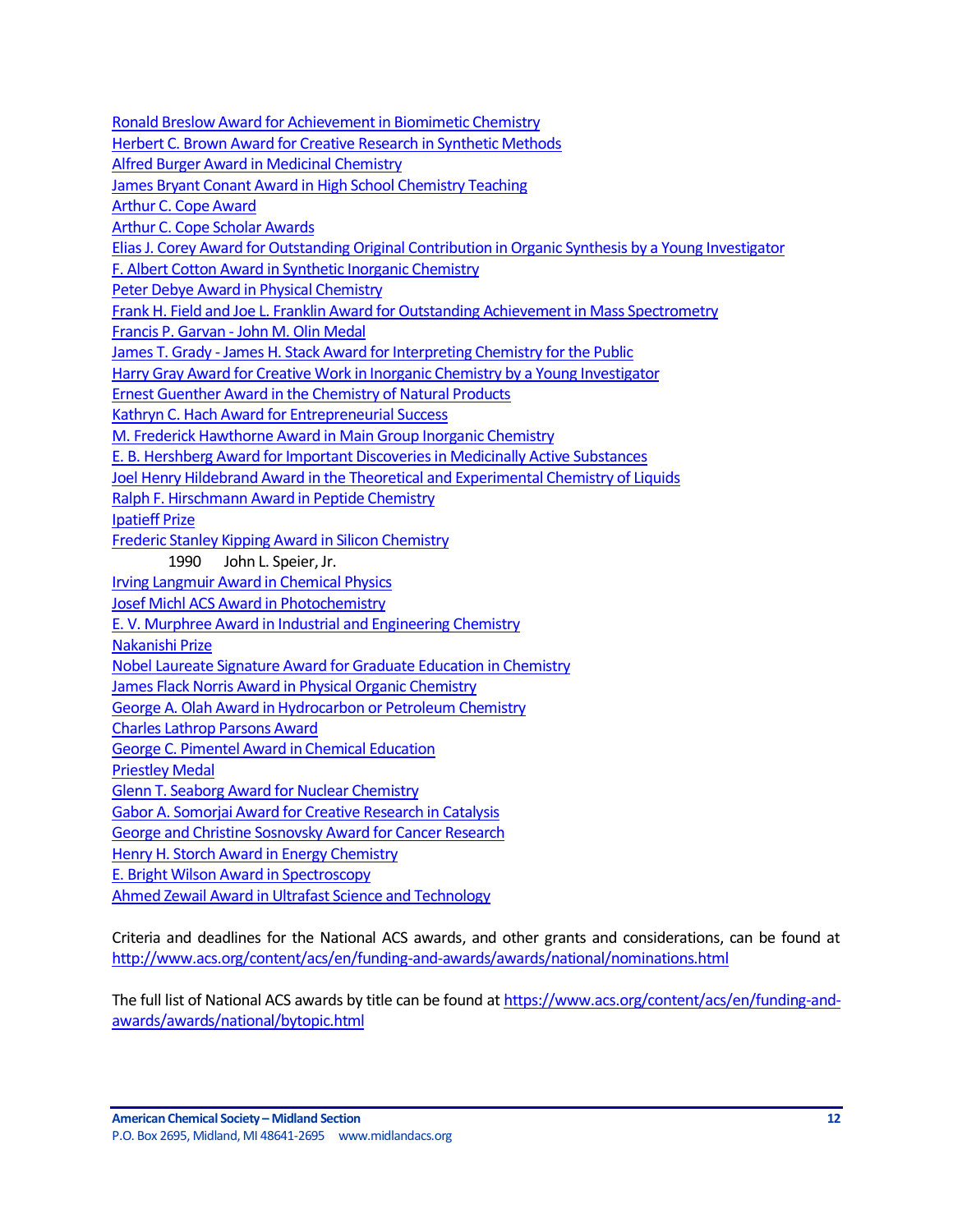[Ronald Breslow Award for Achievement in Biomimetic Chemistry](http://www.acs.org/content/acs/en/funding-and-awards/awards/national/bytopic/ronald-breslow-award-for-achievement-in-biomimetic-chemistry.html) [Herbert C. Brown Award for Creative Research in Synthetic Methods](http://www.acs.org/content/acs/en/funding-and-awards/awards/national/bytopic/herbert-c-brown-award-for-creative-research-in-synthetic-methods.html) [Alfred Burger Award in Medicinal Chemistry](https://www.acs.org/content/acs/en/funding-and-awards/awards/national/bytopic/alfred-burger-award-in-medicinal-chemistry.html?_ga=1.126276233.525249293.1483657158) [James Bryant Conant Award in High School Chemistry Teaching](http://www.acs.org/content/acs/en/funding-and-awards/awards/national/bytopic/james-bryant-conant-award-in-high-school-chemistry-teaching.html) [Arthur C. Cope Award](http://www.acs.org/content/acs/en/funding-and-awards/awards/national/bytopic/arthur-c-cope-award.html) [Arthur C. Cope Scholar Awards](https://www.acs.org/content/acs/en/funding-and-awards/awards/national/bytopic/arthur-cope-scholar-award.html?_ga=1.41640802.1585534025.1483717018) [Elias J. Corey Award for Outstanding Original Contribution in Organic Synthesis by a Young Investigator](http://www.acs.org/content/acs/en/funding-and-awards/awards/national/bytopic/elias-j-corey-award-for-outstanding-original-contribution-in-organic-synthesis-by-a-young-investigator.html) [F. Albert Cotton Award in Synthetic Inorganic Chemistry](http://www.acs.org/content/acs/en/funding-and-awards/awards/national/bytopic/f-albert-cotton-award-in-synthetic-inorganic-chemistry.html) [Peter Debye Award in Physical Chemistry](http://www.acs.org/content/acs/en/funding-and-awards/awards/national/bytopic/peter-debye-award-in-physical-chemistry.html) [Frank H. Field and Joe L. Franklin Award for Outstanding Achievement in Mass Spectrometry](http://www.acs.org/content/acs/en/funding-and-awards/awards/national/bytopic/frank-h-field-and-joe-l-franklin-award-for-outstanding-achievement-in-mass-spectrometry.html) Francis P. Garvan - [John M. Olin Medal](http://www.acs.org/content/acs/en/funding-and-awards/awards/national/bytopic/francis-p-garvan-john-m-olin-medal.html) James T. Grady - [James H. Stack Award for Interpreting Chemistry for the Public](http://www.acs.org/content/acs/en/funding-and-awards/awards/national/bytopic/james-t-grady-james-h-stack-award-for-interpreting-chemistry-for-the-public.html) [Harry Gray Award for Creative Work in Inorganic Chemistry by a Young Investigator](http://www.acs.org/content/acs/en/funding-and-awards/awards/national/bytopic/harry-gray-award-for-creative-work-in-inorganic-chemistry-by-a-y.html) [Ernest Guenther Award in the Chemistry of Natural Products](http://www.acs.org/content/acs/en/funding-and-awards/awards/national/bytopic/ernest-guenther-award-in-the-chemistry-of-natural-products.html) [Kathryn C. Hach Award for Entrepreneurial Success](http://www.acs.org/content/acs/en/funding-and-awards/awards/national/bytopic/entrepreneurial-success.html) [M. Frederick Hawthorne Award in Main Group Inorganic Chemistry](https://www.acs.org/content/acs/en/funding-and-awards/awards/national/bytopic/m-frederick-hawthorne-award-in-main-group-inorganic-chemistry.html) [E. B. Hershberg Award for Important Discoveries in Medicinally Active Substances](http://www.acs.org/content/acs/en/funding-and-awards/awards/national/bytopic/e-b-hershberg-award-for-important-discoveries-in-medicinally-active-substances.html) [Joel Henry Hildebrand Award in the Theoretical and Experimental Chemistry of Liquids](http://www.acs.org/content/acs/en/funding-and-awards/awards/national/bytopic/joel-henry-hildebrand-award-in-the-theoretical-and-experimental-chemistry-of-liquids.html) [Ralph F. Hirschmann Award in Peptide Chemistry](https://www.acs.org/content/acs/en/funding-and-awards/awards/national/bytopic/ralph-f-hirschmann-award-in-peptide-chemistry.html?_ga=1.155637183.525249293.1483657158) [Ipatieff Prize](https://www.acs.org/content/acs/en/funding-and-awards/awards/national/bytopic/ipatieff-prize.html?_ga=1.155637183.525249293.1483657158) [Frederic Stanley Kipping Award in Silicon Chemistry](http://www.acs.org/content/acs/en/funding-and-awards/awards/national/bytopic/frederic-stanley-kipping-award-in-silicon-chemistry.html) 1990 John L. Speier, Jr. [Irving Langmuir Award in Chemical Physics](https://www.acs.org/content/acs/en/funding-and-awards/awards/national/bytopic/irving-langmuir-award-in-chemical-physics.html?_ga=1.61816104.525249293.1483657158) [Josef Michl ACS Award in Photochemistry](https://www.acs.org/content/acs/en/funding-and-awards/awards/national/bytopic/josef-michl-acs-award-in-photochemistry.html?cq_ck=1404230027376&_ga=1.268382858.525249293.1483657158) E. V. Murphree Award [in Industrial and Engineering Chemistry](http://www.acs.org/content/acs/en/funding-and-awards/awards/national/bytopic/e-v-murphree-award-in-industrial-and-engineering-chemistry.html) [Nakanishi Prize](http://www.acs.org/content/acs/en/funding-and-awards/awards/national/bytopic/nakanishi-prize.html) [Nobel Laureate Signature Award for Graduate Education in Chemistry](http://www.acs.org/content/acs/en/funding-and-awards/awards/national/bytopic/nobel-laureate-signature-award-for-graduate-education-in-chemistry.html) [James Flack Norris Award in Physical Organic Chemistry](http://www.acs.org/content/acs/en/funding-and-awards/awards/national/bytopic/james-flack-norris-award-in-physical-organic-chemistry.html) [George A. Olah Award in Hydrocarbon or Petroleum Chemistry](http://www.acs.org/content/acs/en/funding-and-awards/awards/national/bytopic/george-a-olah-award-in-hydrocarbon-or-petroleum-chemistry.html) [Charles Lathrop Parsons Award](http://www.acs.org/content/acs/en/funding-and-awards/awards/national/bytopic/charles-lathrop-parsons-award.html) [George C. Pimentel Award in Chemical Education](http://www.acs.org/content/acs/en/funding-and-awards/awards/national/bytopic/george-c-pimentel-award-in-chemical-education.html) [Priestley Medal](http://www.acs.org/content/acs/en/funding-and-awards/awards/national/bytopic/priestley-medal.html) [Glenn T. Seaborg Award for Nuclear Chemistry](http://www.acs.org/content/acs/en/funding-and-awards/awards/national/bytopic/glenn-t-seaborg-award-for-nuclear-chemistry.html) [Gabor A. Somorjai Award for Creative Research in Catalysis](http://www.acs.org/content/acs/en/funding-and-awards/awards/national/bytopic/gabor-a-somorjai-award-for-creative-research-in-catalysis.html) [George and Christine Sosnovsky Award for Cancer Research](http://www.acs.org/content/acs/en/funding-and-awards/awards/national/bytopic/the-george-and-christine-sosnovsky-award-for-cancer-research.html) [Henry H. Storch Award in Energy Chemistry](https://www.acs.org/content/acs/en/funding-and-awards/awards/national/bytopic/henry-h-storch-award-in-energy-chemistry.html) [E. Bright Wilson Award in Spectroscopy](http://www.acs.org/content/acs/en/funding-and-awards/awards/national/bytopic/e-bright-wilson-award-in-spectroscopy.html) [Ahmed Zewail Award in Ultrafast Science and](http://www.acs.org/content/acs/en/funding-and-awards/awards/national/bytopic/the-ahmed-zewail-award-in-ultrafast-science-and-technology.html) Technology

Criteria and deadlines for the National ACS awards, and other grants and considerations, can be found at <http://www.acs.org/content/acs/en/funding-and-awards/awards/national/nominations.html>

The full list of National ACS awards by title can be found at [https://www.acs.org/content/acs/en/funding-and](https://www.acs.org/content/acs/en/funding-and-awards/awards/national/bytopic.html)[awards/awards/national/bytopic.html](https://www.acs.org/content/acs/en/funding-and-awards/awards/national/bytopic.html)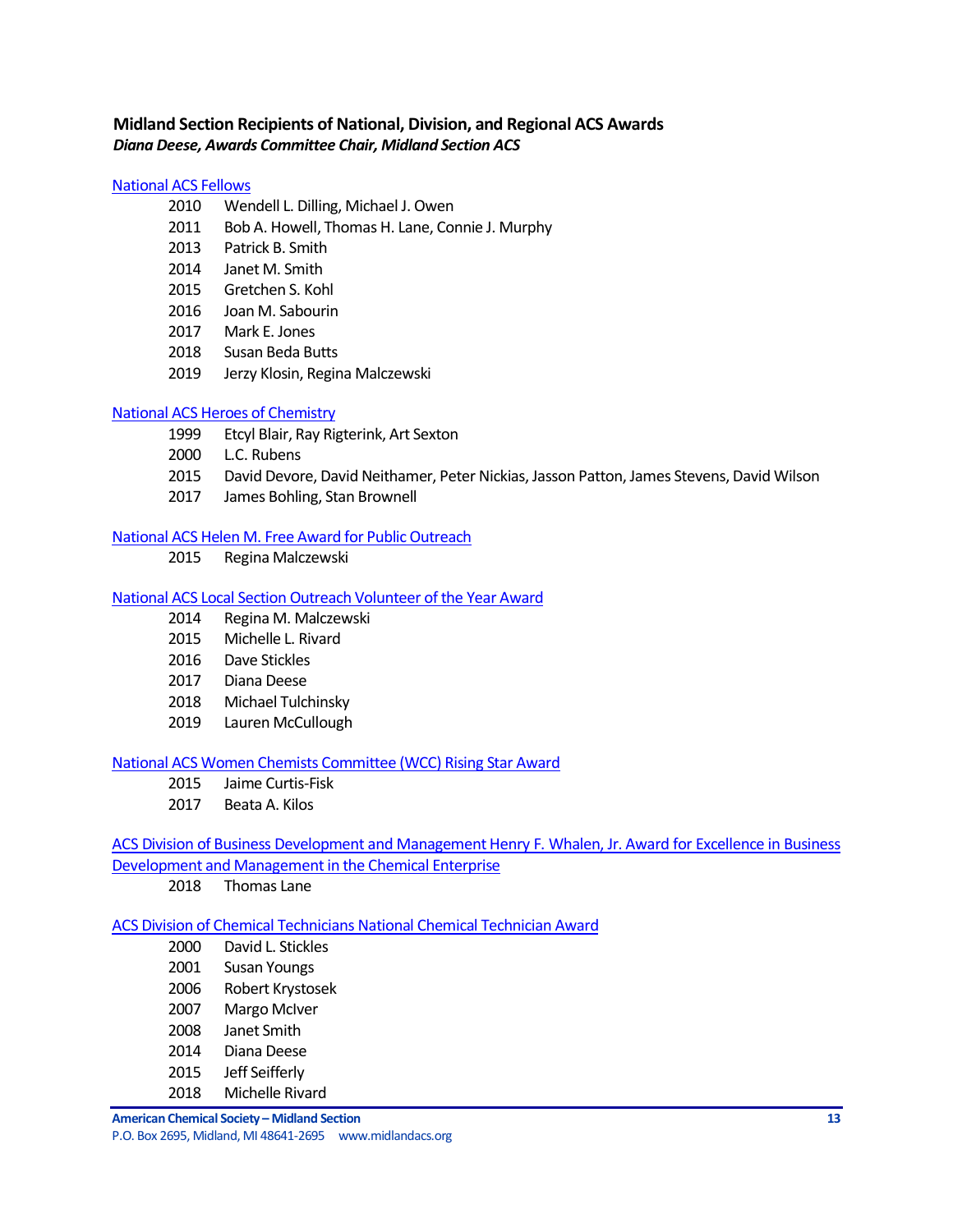# <span id="page-12-0"></span>**Midland Section Recipients of National, Division, and Regional ACS Awards** *Diana Deese, Awards Committee Chair, Midland Section ACS*

### [National ACS Fellows](https://www.acs.org/content/acs/en/funding-and-awards/fellows.html?_ga=1.101250693.525249293.1483657158)

- Wendell L. Dilling, Michael J. Owen
- Bob A. Howell, Thomas H. Lane, Connie J. Murphy
- Patrick B. Smith
- **Janet M. Smith**
- Gretchen S. Kohl
- Joan M. Sabourin
- Mark E. Jones
- Susan Beda Butts
- Jerzy Klosin, Regina Malczewski

### [National ACS Heroes of Chemistry](https://www.acs.org/content/acs/en/funding-and-awards/awards/industry/heroes.html)

- Etcyl Blair, Ray Rigterink, Art Sexton
- L.C. Rubens
- David Devore, David Neithamer, Peter Nickias, Jasson Patton, James Stevens, David Wilson
- James Bohling, Stan Brownell

### [National ACS Helen M. Free Award for Public Outreach](https://www.acs.org/content/acs/en/funding-and-awards/awards/other/public/helenmfreeawardforpublicoutreach.html?_ga=1.102306181.525249293.1483657158)

2015 Regina Malczewski

### [National ACS Local Section Outreach Volunteer of the Year Award](https://www.acs.org/content/acs/en/membership-and-networks/ls/grantsawards/local-section-outreach-volunteers.html?_ga=1.163659451.525249293.1483657158)

- Regina M. Malczewski
- Michelle L. Rivard
- Dave Stickles
- Diana Deese
- Michael Tulchinsky
- Lauren McCullough

### [National ACS Women Chemists Committee \(WCC\) Rising Star Award](https://www.acs.org/content/acs/en/funding-and-awards/awards/other/diversity/wcc-rising-star-award.html)

- Jaime Curtis-Fisk
- Beata A. Kilos

# [ACS Division of Business Development and Management Henry F. Whalen, Jr. Award for Excellence in Business](http://bmgt.org/awards.html)  [Development and Management in the Chemical Enterprise](http://bmgt.org/awards.html)

Thomas Lane

### [ACS Division of Chemical Technicians National Chemical Technician Award](https://www.acs.org/content/acs/en/funding-and-awards/awards/division/technicians/national-chemical-technician-award.html)

 David L. Stickles Susan Youngs Robert Krystosek 2007 Margo McIver Janet Smith Diana Deese Jeff Seifferly

Michelle Rivard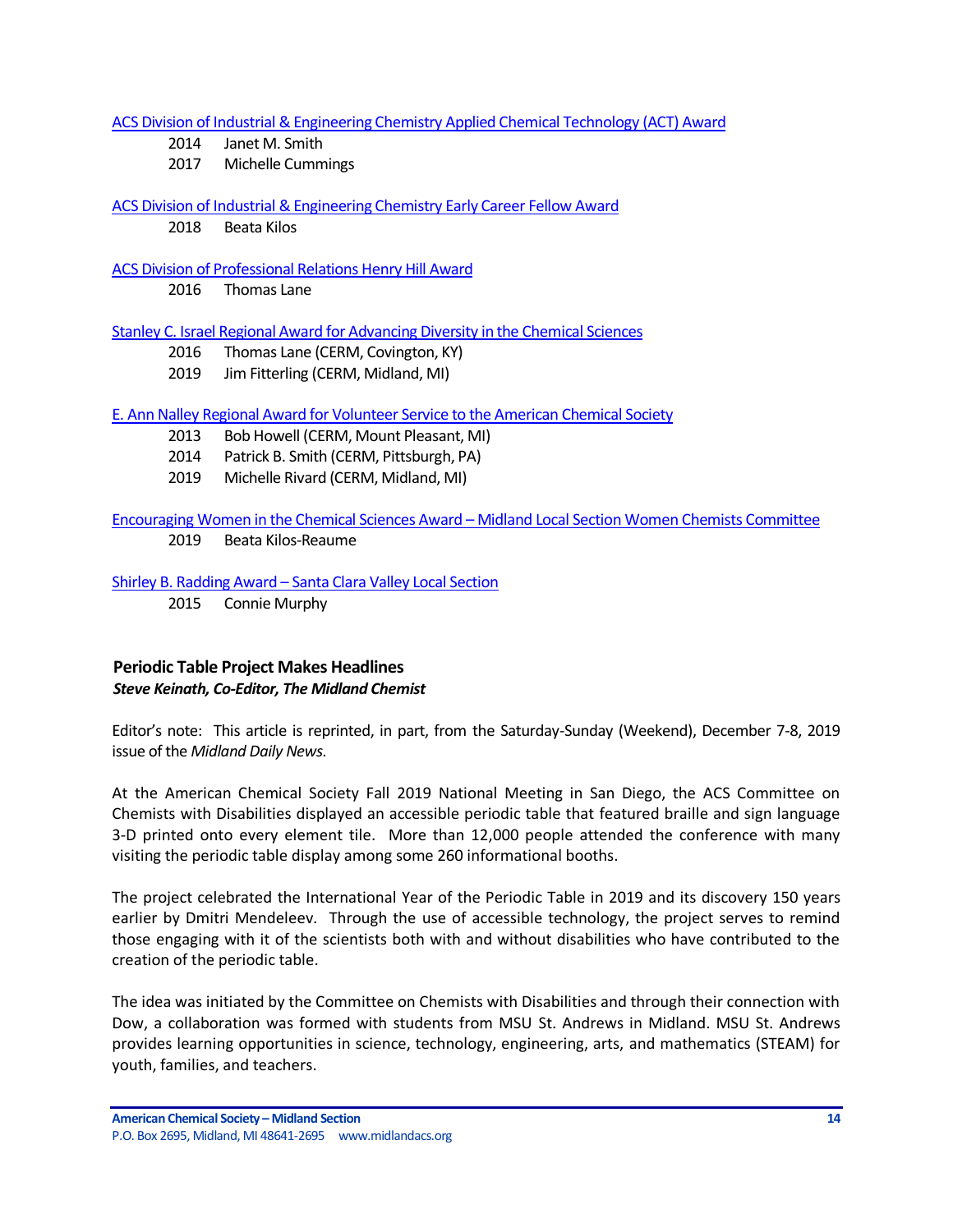[ACS Division of Industrial & Engineering Chemistry Applied Chemical Technology \(ACT\) Award](http://iecdivision.sites.acs.org/)

- 2014 Janet M. Smith
- 2017 Michelle Cummings

### [ACS Division of Industrial & Engineering Chemistry Early Career Fellow Award](http://iecdivision.sites.acs.org/)

2018 Beata Kilos

### [ACS Division of Professional Relations Henry Hill Award](https://www.acs.org/content/acs/en/funding-and-awards/awards/division/professionalrelations/prof-henry-hill-award.html)

2016 Thomas Lane

### [Stanley C. Israel Regional Award for Advancing Diversity in the Chemical Sciences](https://www.acs.org/content/acs/en/funding-and-awards/awards/other/diversity/stan-israel-award.html?_ga=1.122460559.525249293.1483657158)

- 2016 Thomas Lane (CERM, Covington, KY)
- 2019 Jim Fitterling (CERM, Midland, MI)

### E. Ann Nalley Regional Award for [Volunteer Service to the American Chemical Society](https://www.acs.org/content/acs/en/funding-and-awards/awards/regional/e-ann-nalley-regional-award-for-volunteer-service-to-the-american-chemical-society.html?_ga=1.58725929.525249293.1483657158)

- 2013 Bob Howell (CERM, Mount Pleasant, MI)
- 2014 Patrick B. Smith (CERM, Pittsburgh, PA)
- 2019 Michelle Rivard (CERM, Midland, MI)

### Encouraging Women in the Chemical Sciences Award – Midland Local Section Women Chemists Committee

2019 Beata Kilos-Reaume

Shirley B. Radding Award – [Santa Clara Valley Local Section](https://www.acs.org/content/acs/en/funding-and-awards/awards/acs-local-section-awards/awards-santa-clara-valley/santa-clara-shirley-b-radding-award.html)

2015 Connie Murphy

# <span id="page-13-0"></span>**Periodic Table Project Makes Headlines** *Steve Keinath, Co-Editor, The Midland Chemist*

Editor's note: This article is reprinted, in part, from the Saturday-Sunday (Weekend), December 7-8, 2019 issue of the *Midland Daily News*.

At the American Chemical Society Fall 2019 National Meeting in San Diego, the ACS Committee on Chemists with Disabilities displayed an accessible periodic table that featured braille and sign language 3-D printed onto every element tile. More than 12,000 people attended the conference with many visiting the periodic table display among some 260 informational booths.

The project celebrated the International Year of the Periodic Table in 2019 and its discovery 150 years earlier by Dmitri Mendeleev. Through the use of accessible technology, the project serves to remind those engaging with it of the scientists both with and without disabilities who have contributed to the creation of the periodic table.

The idea was initiated by the Committee on Chemists with Disabilities and through their connection with Dow, a collaboration was formed with students from MSU St. Andrews in Midland. MSU St. Andrews provides learning opportunities in science, technology, engineering, arts, and mathematics (STEAM) for youth, families, and teachers.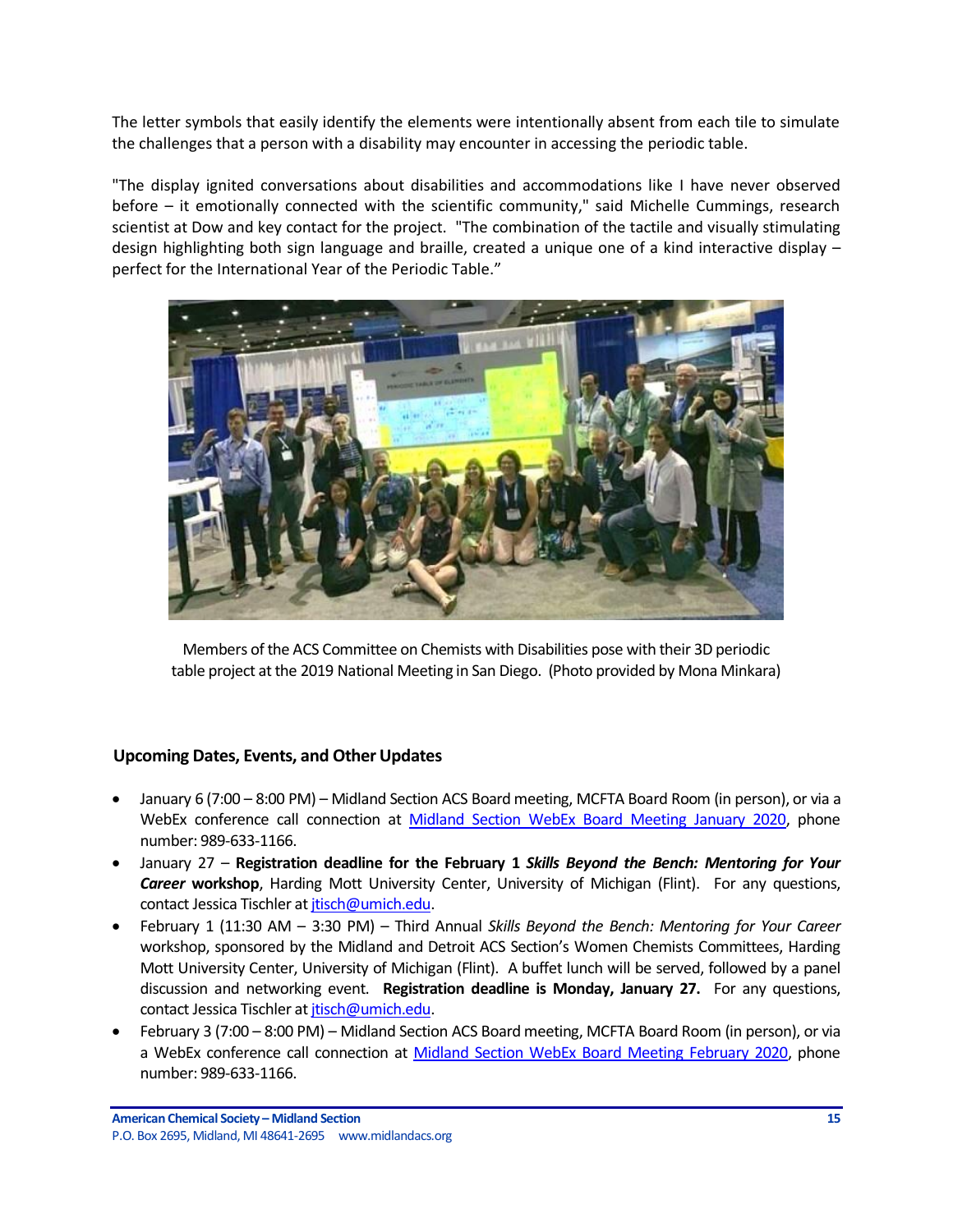The letter symbols that easily identify the elements were intentionally absent from each tile to simulate the challenges that a person with a disability may encounter in accessing the periodic table.

"The display ignited conversations about disabilities and accommodations like I have never observed before – it emotionally connected with the scientific community," said Michelle Cummings, research scientist at Dow and key contact for the project. "The combination of the tactile and visually stimulating design highlighting both sign language and braille, created a unique one of a kind interactive display – perfect for the International Year of the Periodic Table."



Members of the ACS Committee on Chemists with Disabilities pose with their 3D periodic table project at the 2019 National Meeting in San Diego. (Photo provided by Mona Minkara)

# <span id="page-14-0"></span>**Upcoming Dates, Events, and Other Updates**

- January 6 (7:00 8:00 PM) Midland Section ACS Board meeting, MCFTA Board Room (in person), or via a WebEx conference call connection at [Midland Section WebEx Board Meeting January 2020,](https://dow.webex.com/dow/j.php?MTID=mdf2c866a51f937aec9843012fbaa718b) phone number: 989-633-1166.
- January 27 **Registration deadline for the February 1** *Skills Beyond the Bench: Mentoring for Your Career* **workshop**, Harding Mott University Center, University of Michigan (Flint). For any questions, contact Jessica Tischler a[t jtisch@umich.edu.](mailto:jtisch@umich.edu)
- February 1 (11:30 AM 3:30 PM) Third Annual *Skills Beyond the Bench: Mentoring for Your Career* workshop, sponsored by the Midland and Detroit ACS Section's Women Chemists Committees, Harding Mott University Center, University of Michigan (Flint). A buffet lunch will be served, followed by a panel discussion and networking event. **Registration deadline is Monday, January 27.** For any questions, contact Jessica Tischler at *jtisch@umich.edu.*
- February 3 (7:00 8:00 PM) Midland Section ACS Board meeting, MCFTA Board Room (in person), or via a WebEx conference call connection at [Midland Section WebEx Board Meeting February 2020,](https://dow.webex.com/webappng/sites/dow/meeting/info/147368882886185057?MTID=mf57d629d657a6a0e76e5f37a37a5e099) phone number: 989-633-1166.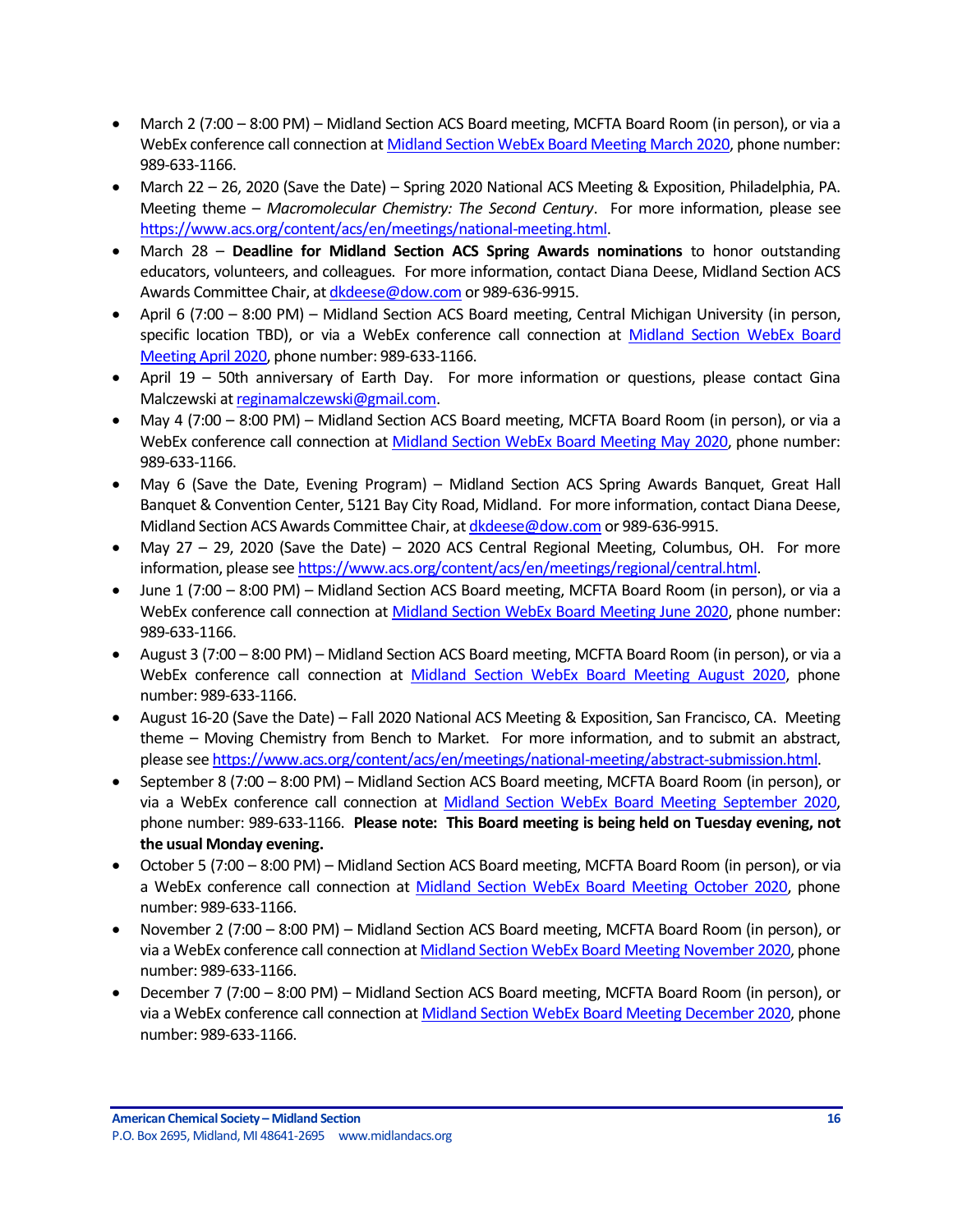- March 2 (7:00 8:00 PM) Midland Section ACS Board meeting, MCFTA Board Room (in person), or via a WebEx conference call connection at [Midland Section WebEx Board Meeting March 2020,](https://dow.webex.com/webappng/sites/dow/meeting/info/147369060224504746?MTID=m78a8d57fb6938a51f77ac48717ac8ec9) phone number: 989-633-1166.
- March 22 26, 2020 (Save the Date) Spring 2020 National ACS Meeting & Exposition, Philadelphia, PA. Meeting theme – *Macromolecular Chemistry: The Second Century*. For more information, please see [https://www.acs.org/content/acs/en/meetings/national-meeting.html.](https://www.acs.org/content/acs/en/meetings/national-meeting.html)
- March 28 **Deadline for Midland Section ACS Spring Awards nominations** to honor outstanding educators, volunteers, and colleagues. For more information, contact Diana Deese, Midland Section ACS Awards Committee Chair, a[t dkdeese@dow.com](mailto:dkdeese@dow.com) or 989-636-9915.
- April 6 (7:00 8:00 PM) Midland Section ACS Board meeting, Central Michigan University (in person, specific location TBD), or via a WebEx conference call connection at Midland Section WebEx Board [Meeting April 2020,](https://dow.webex.com/webappng/sites/dow/meeting/info/147369092218655717?MTID=m4dc31bbe6645d5f7f0f29c969b418891) phone number: 989-633-1166.
- April 19 50th anniversary of Earth Day. For more information or questions, please contact Gina Malczewski a[t reginamalczewski@gmail.com.](mailto:reginamalczewski@gmail.com)
- May 4 (7:00 8:00 PM) Midland Section ACS Board meeting, MCFTA Board Room (in person), or via a WebEx conference call connection at [Midland Section WebEx Board Meeting May 2020,](https://dow.webex.com/webappng/sites/dow/meeting/info/147369119023403198?MTID=m97c16758c795093aaa8840be9a9484f3) phone number: 989-633-1166.
- May 6 (Save the Date, Evening Program) Midland Section ACS Spring Awards Banquet, Great Hall Banquet & Convention Center, 5121 Bay City Road, Midland. For more information, contact Diana Deese, Midland Section ACS Awards Committee Chair, a[t dkdeese@dow.com](mailto:dkdeese@dow.com) or 989-636-9915.
- May 27 29, 2020 (Save the Date) 2020 ACS Central Regional Meeting, Columbus, OH. For more information, please se[e https://www.acs.org/content/acs/en/meetings/regional/central.html.](https://www.acs.org/content/acs/en/meetings/regional/central.html)
- June 1 (7:00 8:00 PM) Midland Section ACS Board meeting, MCFTA Board Room (in person), or via a WebEx conference call connection at [Midland Section WebEx Board Meeting June 2020,](https://dow.webex.com/webappng/sites/dow/meeting/info/147369764857090207?MTID=m6d5b883f8b8a0cccbb56f34737466537) phone number: 989-633-1166.
- August 3 (7:00 8:00 PM) Midland Section ACS Board meeting, MCFTA Board Room (in person), or via a WebEx conference call connection at [Midland Section WebEx Board Meeting August 2020,](https://dow.webex.com/webappng/sites/dow/meeting/info/147369865088373225?MTID=m9e575e5b99b945a631d5e929d4c9b94e) phone number: 989-633-1166.
- August 16-20 (Save the Date) Fall 2020 National ACS Meeting & Exposition, San Francisco, CA. Meeting theme – Moving Chemistry from Bench to Market. For more information, and to submit an abstract, please se[e https://www.acs.org/content/acs/en/meetings/national-meeting/abstract-submission.html.](https://www.acs.org/content/acs/en/meetings/national-meeting/abstract-submission.html)
- September 8 (7:00 8:00 PM) Midland Section ACS Board meeting, MCFTA Board Room (in person), or via a WebEx conference call connection at [Midland Section WebEx Board Meeting September](https://dow.webex.com/webappng/sites/dow/meeting/info/147369910636417826?MTID=m8efde4d24b3170a04b675077a31db6ff) 2020, phone number: 989-633-1166. **Please note: This Board meeting is being held on Tuesday evening, not the usual Monday evening.**
- October 5 (7:00 8:00 PM) Midland Section ACS Board meeting, MCFTA Board Room (in person), or via a WebEx conference call connection at [Midland Section WebEx Board Meeting October](https://dow.webex.com/webappng/sites/dow/meeting/info/147369963561194403?MTID=m4433e125aba5a6c26b6e32d347ffc7bf) 2020, phone number: 989-633-1166.
- November 2 (7:00 8:00 PM) Midland Section ACS Board meeting, MCFTA Board Room (in person), or via a WebEx conference call connection a[t Midland Section WebEx Board Meeting November](https://dow.webex.com/webappng/sites/dow/meeting/info/147370014930932607?MTID=me1a04d08b255f6ca75034382b9c32601) 2020, phone number: 989-633-1166.
- December 7 (7:00 8:00 PM) Midland Section ACS Board meeting, MCFTA Board Room (in person), or via a WebEx conference call connection a[t Midland Section WebEx Board Meeting December](https://dow.webex.com/webappng/sites/dow/meeting/info/147370068640043188?MTID=m2ecd52d22a6ec33abe1a2ba613bc7492) 2020, phone number: 989-633-1166.